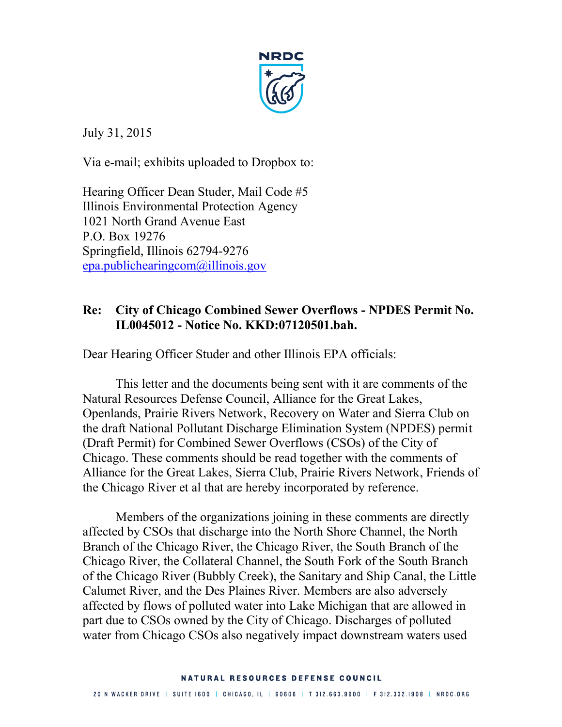

July 31, 2015

Via e-mail; exhibits uploaded to Dropbox to:

Hearing Officer Dean Studer, Mail Code #5 Illinois Environmental Protection Agency 1021 North Grand Avenue East P.O. Box 19276 Springfield, Illinois 62794-9276 epa.publichearingcom@illinois.gov

## **Re: City of Chicago Combined Sewer Overflows - NPDES Permit No. IL0045012 - Notice No. KKD:07120501.bah.**

Dear Hearing Officer Studer and other Illinois EPA officials:

This letter and the documents being sent with it are comments of the Natural Resources Defense Council, Alliance for the Great Lakes, Openlands, Prairie Rivers Network, Recovery on Water and Sierra Club on the draft National Pollutant Discharge Elimination System (NPDES) permit (Draft Permit) for Combined Sewer Overflows (CSOs) of the City of Chicago. These comments should be read together with the comments of Alliance for the Great Lakes, Sierra Club, Prairie Rivers Network, Friends of the Chicago River et al that are hereby incorporated by reference.

Members of the organizations joining in these comments are directly affected by CSOs that discharge into the North Shore Channel, the North Branch of the Chicago River, the Chicago River, the South Branch of the Chicago River, the Collateral Channel, the South Fork of the South Branch of the Chicago River (Bubbly Creek), the Sanitary and Ship Canal, the Little Calumet River, and the Des Plaines River. Members are also adversely affected by flows of polluted water into Lake Michigan that are allowed in part due to CSOs owned by the City of Chicago. Discharges of polluted water from Chicago CSOs also negatively impact downstream waters used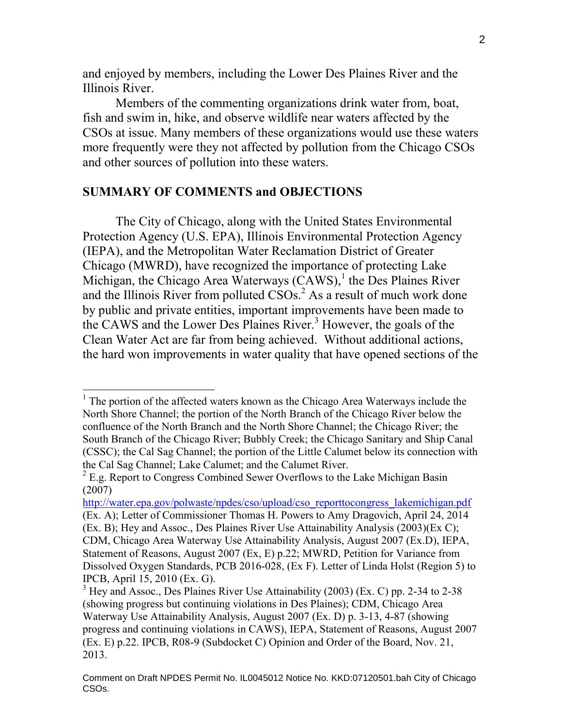and enjoyed by members, including the Lower Des Plaines River and the Illinois River.

Members of the commenting organizations drink water from, boat, fish and swim in, hike, and observe wildlife near waters affected by the CSOs at issue. Many members of these organizations would use these waters more frequently were they not affected by pollution from the Chicago CSOs and other sources of pollution into these waters.

#### **SUMMARY OF COMMENTS and OBJECTIONS**

 $\overline{a}$ 

The City of Chicago, along with the United States Environmental Protection Agency (U.S. EPA), Illinois Environmental Protection Agency (IEPA), and the Metropolitan Water Reclamation District of Greater Chicago (MWRD), have recognized the importance of protecting Lake Michigan, the Chicago Area Waterways  $(CAWS)^{1}$  the Des Plaines River and the Illinois River from polluted  $CSOs<sup>2</sup>$  As a result of much work done by public and private entities, important improvements have been made to the CAWS and the Lower Des Plaines River.<sup>3</sup> However, the goals of the Clean Water Act are far from being achieved. Without additional actions, the hard won improvements in water quality that have opened sections of the

<sup>&</sup>lt;sup>1</sup> The portion of the affected waters known as the Chicago Area Waterways include the North Shore Channel; the portion of the North Branch of the Chicago River below the confluence of the North Branch and the North Shore Channel; the Chicago River; the South Branch of the Chicago River; Bubbly Creek; the Chicago Sanitary and Ship Canal (CSSC); the Cal Sag Channel; the portion of the Little Calumet below its connection with the Cal Sag Channel; Lake Calumet; and the Calumet River.

 $2$  E.g. Report to Congress Combined Sewer Overflows to the Lake Michigan Basin (2007)

http://water.epa.gov/polwaste/npdes/cso/upload/cso\_reporttocongress\_lakemichigan.pdf (Ex. A); Letter of Commissioner Thomas H. Powers to Amy Dragovich, April 24, 2014 (Ex. B); Hey and Assoc., Des Plaines River Use Attainability Analysis (2003)(Ex C); CDM, Chicago Area Waterway Use Attainability Analysis, August 2007 (Ex.D), IEPA, Statement of Reasons, August 2007 (Ex, E) p.22; MWRD, Petition for Variance from Dissolved Oxygen Standards, PCB 2016-028, (Ex F). Letter of Linda Holst (Region 5) to IPCB, April 15, 2010 (Ex. G).

 $3$  Hey and Assoc., Des Plaines River Use Attainability (2003) (Ex. C) pp. 2-34 to 2-38 (showing progress but continuing violations in Des Plaines); CDM, Chicago Area Waterway Use Attainability Analysis, August 2007 (Ex. D) p. 3-13, 4-87 (showing progress and continuing violations in CAWS), IEPA, Statement of Reasons, August 2007 (Ex. E) p.22. IPCB, R08-9 (Subdocket C) Opinion and Order of the Board, Nov. 21, 2013.

Comment on Draft NPDES Permit No. IL0045012 Notice No. KKD:07120501.bah City of Chicago CSOs.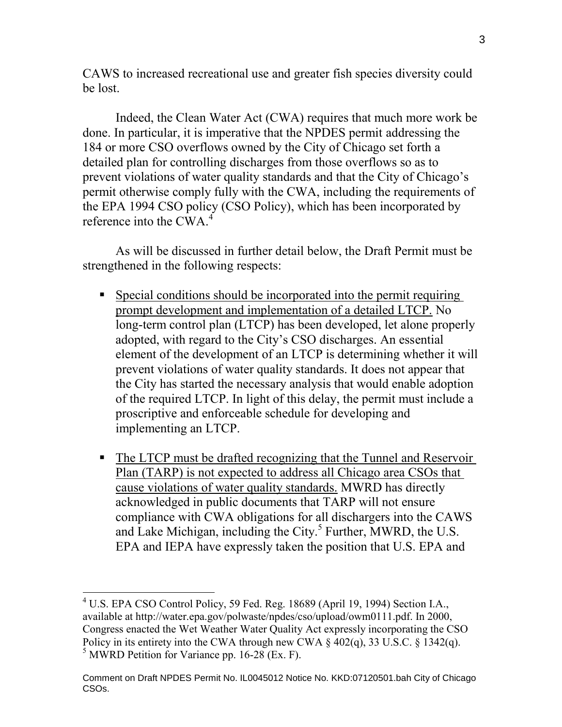CAWS to increased recreational use and greater fish species diversity could be lost.

Indeed, the Clean Water Act (CWA) requires that much more work be done. In particular, it is imperative that the NPDES permit addressing the 184 or more CSO overflows owned by the City of Chicago set forth a detailed plan for controlling discharges from those overflows so as to prevent violations of water quality standards and that the City of Chicago's permit otherwise comply fully with the CWA, including the requirements of the EPA 1994 CSO policy (CSO Policy), which has been incorporated by reference into the CWA.<sup>4</sup>

As will be discussed in further detail below, the Draft Permit must be strengthened in the following respects:

- Special conditions should be incorporated into the permit requiring prompt development and implementation of a detailed LTCP. No long-term control plan (LTCP) has been developed, let alone properly adopted, with regard to the City's CSO discharges. An essential element of the development of an LTCP is determining whether it will prevent violations of water quality standards. It does not appear that the City has started the necessary analysis that would enable adoption of the required LTCP. In light of this delay, the permit must include a proscriptive and enforceable schedule for developing and implementing an LTCP.
- The LTCP must be drafted recognizing that the Tunnel and Reservoir Plan (TARP) is not expected to address all Chicago area CSOs that cause violations of water quality standards. MWRD has directly acknowledged in public documents that TARP will not ensure compliance with CWA obligations for all dischargers into the CAWS and Lake Michigan, including the City. $<sup>5</sup>$  Further, MWRD, the U.S.</sup> EPA and IEPA have expressly taken the position that U.S. EPA and

<sup>4</sup> U.S. EPA CSO Control Policy, 59 Fed. Reg. 18689 (April 19, 1994) Section I.A., available at http://water.epa.gov/polwaste/npdes/cso/upload/owm0111.pdf. In 2000, Congress enacted the Wet Weather Water Quality Act expressly incorporating the CSO Policy in its entirety into the CWA through new CWA  $\S$  402(q), 33 U.S.C.  $\S$  1342(q).  $<sup>5</sup>$  MWRD Petition for Variance pp. 16-28 (Ex. F).</sup>

Comment on Draft NPDES Permit No. IL0045012 Notice No. KKD:07120501.bah City of Chicago CSOs.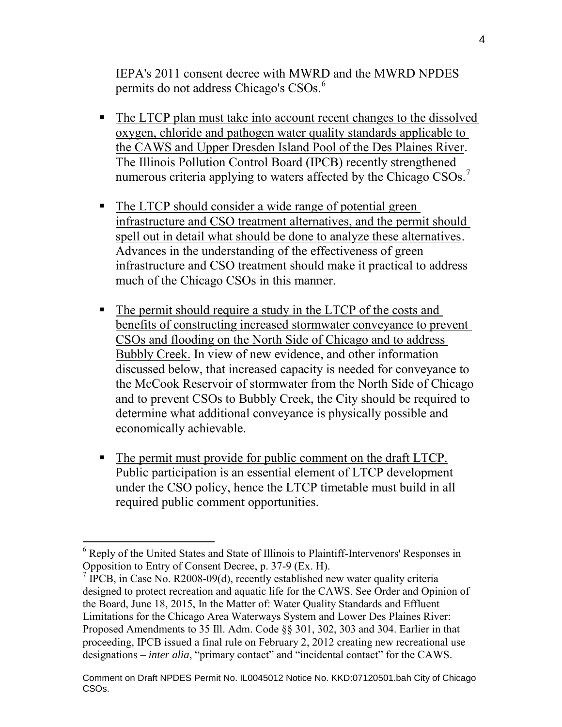IEPA's 2011 consent decree with MWRD and the MWRD NPDES permits do not address Chicago's CSOs.<sup>6</sup>

- The LTCP plan must take into account recent changes to the dissolved oxygen, chloride and pathogen water quality standards applicable to the CAWS and Upper Dresden Island Pool of the Des Plaines River. The Illinois Pollution Control Board (IPCB) recently strengthened numerous criteria applying to waters affected by the Chicago  $CSOs.^7$
- The LTCP should consider a wide range of potential green infrastructure and CSO treatment alternatives, and the permit should spell out in detail what should be done to analyze these alternatives. Advances in the understanding of the effectiveness of green infrastructure and CSO treatment should make it practical to address much of the Chicago CSOs in this manner.
- The permit should require a study in the LTCP of the costs and benefits of constructing increased stormwater conveyance to prevent CSOs and flooding on the North Side of Chicago and to address Bubbly Creek. In view of new evidence, and other information discussed below, that increased capacity is needed for conveyance to the McCook Reservoir of stormwater from the North Side of Chicago and to prevent CSOs to Bubbly Creek, the City should be required to determine what additional conveyance is physically possible and economically achievable.
- The permit must provide for public comment on the draft LTCP. Public participation is an essential element of LTCP development under the CSO policy, hence the LTCP timetable must build in all required public comment opportunities.

<sup>&</sup>lt;sup>6</sup> Reply of the United States and State of Illinois to Plaintiff-Intervenors' Responses in Opposition to Entry of Consent Decree, p. 37-9 (Ex. H).

 $7$  IPCB, in Case No. R2008-09(d), recently established new water quality criteria designed to protect recreation and aquatic life for the CAWS. See Order and Opinion of the Board, June 18, 2015, In the Matter of: Water Quality Standards and Effluent Limitations for the Chicago Area Waterways System and Lower Des Plaines River: Proposed Amendments to 35 Ill. Adm. Code §§ 301, 302, 303 and 304. Earlier in that proceeding, IPCB issued a final rule on February 2, 2012 creating new recreational use designations – *inter alia*, "primary contact" and "incidental contact" for the CAWS.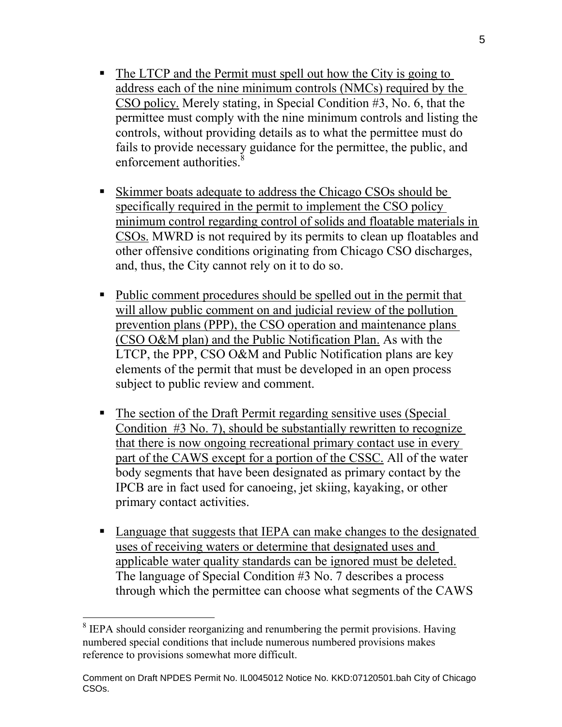- The LTCP and the Permit must spell out how the City is going to address each of the nine minimum controls (NMCs) required by the CSO policy. Merely stating, in Special Condition #3, No. 6, that the permittee must comply with the nine minimum controls and listing the controls, without providing details as to what the permittee must do fails to provide necessary guidance for the permittee, the public, and enforcement authorities.<sup>8</sup>
- Skimmer boats adequate to address the Chicago CSOs should be specifically required in the permit to implement the CSO policy minimum control regarding control of solids and floatable materials in CSOs. MWRD is not required by its permits to clean up floatables and other offensive conditions originating from Chicago CSO discharges, and, thus, the City cannot rely on it to do so.
- Public comment procedures should be spelled out in the permit that will allow public comment on and judicial review of the pollution prevention plans (PPP), the CSO operation and maintenance plans (CSO O&M plan) and the Public Notification Plan. As with the LTCP, the PPP, CSO O&M and Public Notification plans are key elements of the permit that must be developed in an open process subject to public review and comment.
- The section of the Draft Permit regarding sensitive uses (Special Condition #3 No. 7), should be substantially rewritten to recognize that there is now ongoing recreational primary contact use in every part of the CAWS except for a portion of the CSSC. All of the water body segments that have been designated as primary contact by the IPCB are in fact used for canoeing, jet skiing, kayaking, or other primary contact activities.
- Language that suggests that IEPA can make changes to the designated uses of receiving waters or determine that designated uses and applicable water quality standards can be ignored must be deleted. The language of Special Condition #3 No. 7 describes a process through which the permittee can choose what segments of the CAWS

<sup>&</sup>lt;sup>8</sup> IEPA should consider reorganizing and renumbering the permit provisions. Having numbered special conditions that include numerous numbered provisions makes reference to provisions somewhat more difficult.

Comment on Draft NPDES Permit No. IL0045012 Notice No. KKD:07120501.bah City of Chicago CSOs.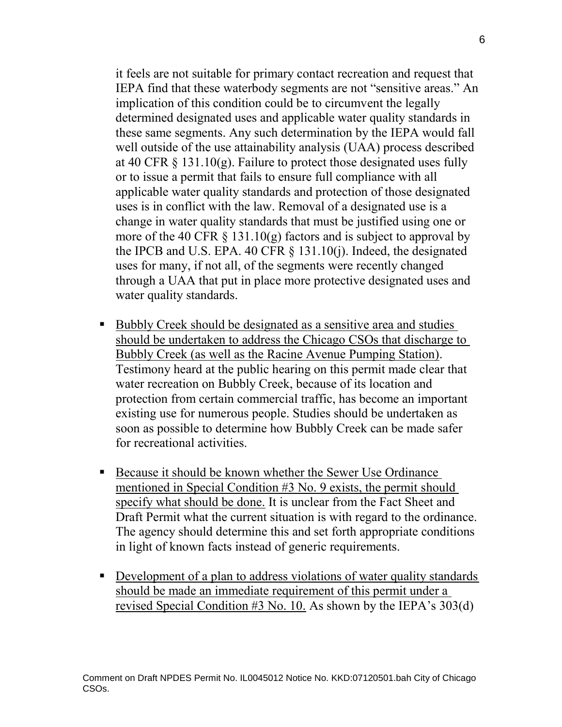it feels are not suitable for primary contact recreation and request that IEPA find that these waterbody segments are not "sensitive areas." An implication of this condition could be to circumvent the legally determined designated uses and applicable water quality standards in these same segments. Any such determination by the IEPA would fall well outside of the use attainability analysis (UAA) process described at 40 CFR  $\S$  131.10(g). Failure to protect those designated uses fully or to issue a permit that fails to ensure full compliance with all applicable water quality standards and protection of those designated uses is in conflict with the law. Removal of a designated use is a change in water quality standards that must be justified using one or more of the 40 CFR  $\S$  131.10(g) factors and is subject to approval by the IPCB and U.S. EPA. 40 CFR § 131.10(j). Indeed, the designated uses for many, if not all, of the segments were recently changed through a UAA that put in place more protective designated uses and water quality standards.

- Bubbly Creek should be designated as a sensitive area and studies should be undertaken to address the Chicago CSOs that discharge to Bubbly Creek (as well as the Racine Avenue Pumping Station). Testimony heard at the public hearing on this permit made clear that water recreation on Bubbly Creek, because of its location and protection from certain commercial traffic, has become an important existing use for numerous people. Studies should be undertaken as soon as possible to determine how Bubbly Creek can be made safer for recreational activities.
- Because it should be known whether the Sewer Use Ordinance mentioned in Special Condition #3 No. 9 exists, the permit should specify what should be done. It is unclear from the Fact Sheet and Draft Permit what the current situation is with regard to the ordinance. The agency should determine this and set forth appropriate conditions in light of known facts instead of generic requirements.
- Development of a plan to address violations of water quality standards should be made an immediate requirement of this permit under a revised Special Condition #3 No. 10. As shown by the IEPA's 303(d)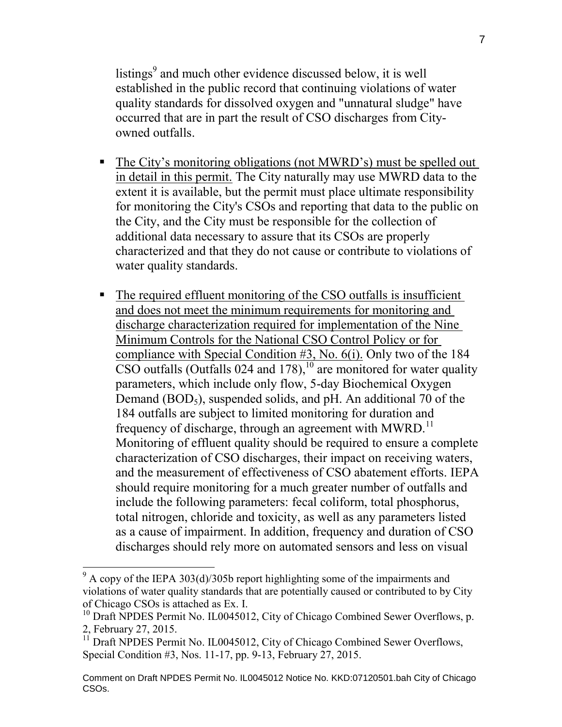listings<sup>9</sup> and much other evidence discussed below, it is well established in the public record that continuing violations of water quality standards for dissolved oxygen and "unnatural sludge" have occurred that are in part the result of CSO discharges from Cityowned outfalls.

- The City's monitoring obligations (not MWRD's) must be spelled out in detail in this permit. The City naturally may use MWRD data to the extent it is available, but the permit must place ultimate responsibility for monitoring the City's CSOs and reporting that data to the public on the City, and the City must be responsible for the collection of additional data necessary to assure that its CSOs are properly characterized and that they do not cause or contribute to violations of water quality standards.
- The required effluent monitoring of the CSO outfalls is insufficient and does not meet the minimum requirements for monitoring and discharge characterization required for implementation of the Nine Minimum Controls for the National CSO Control Policy or for compliance with Special Condition #3, No. 6(i). Only two of the 184  $\overline{\text{CSO}}$  outfalls (Outfalls 024 and 178),<sup>10</sup> are monitored for water quality parameters, which include only flow, 5-day Biochemical Oxygen Demand  $(BOD_5)$ , suspended solids, and pH. An additional 70 of the 184 outfalls are subject to limited monitoring for duration and frequency of discharge, through an agreement with MWRD.<sup>11</sup> Monitoring of effluent quality should be required to ensure a complete characterization of CSO discharges, their impact on receiving waters, and the measurement of effectiveness of CSO abatement efforts. IEPA should require monitoring for a much greater number of outfalls and include the following parameters: fecal coliform, total phosphorus, total nitrogen, chloride and toxicity, as well as any parameters listed as a cause of impairment. In addition, frequency and duration of CSO discharges should rely more on automated sensors and less on visual

 $9^9$  A copy of the IEPA 303(d)/305b report highlighting some of the impairments and violations of water quality standards that are potentially caused or contributed to by City of Chicago CSOs is attached as Ex. I.

<sup>&</sup>lt;sup>10</sup> Draft NPDES Permit No. IL0045012, City of Chicago Combined Sewer Overflows, p. 2, February 27, 2015.

<sup>&</sup>lt;sup>11</sup> Draft NPDES Permit No. IL0045012, City of Chicago Combined Sewer Overflows, Special Condition #3, Nos. 11-17, pp. 9-13, February 27, 2015.

Comment on Draft NPDES Permit No. IL0045012 Notice No. KKD:07120501.bah City of Chicago CSOs.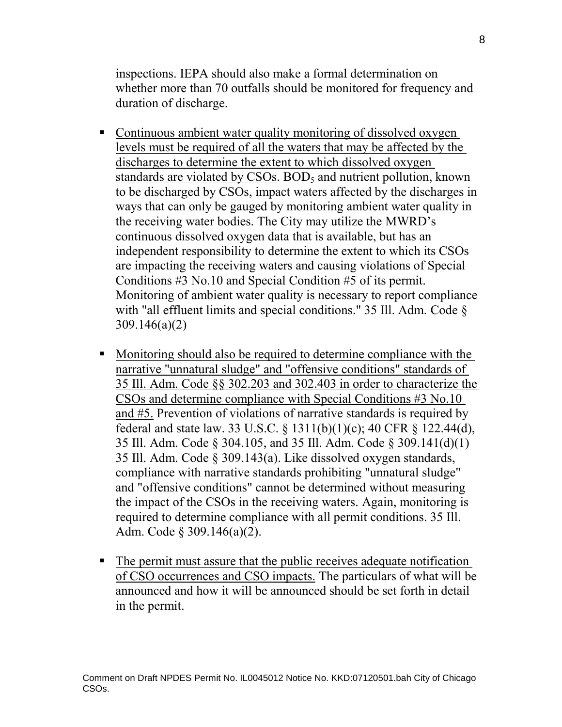inspections. IEPA should also make a formal determination on whether more than 70 outfalls should be monitored for frequency and duration of discharge.

- Continuous ambient water quality monitoring of dissolved oxygen levels must be required of all the waters that may be affected by the discharges to determine the extent to which dissolved oxygen standards are violated by CSOs.  $BOD<sub>5</sub>$  and nutrient pollution, known to be discharged by CSOs, impact waters affected by the discharges in ways that can only be gauged by monitoring ambient water quality in the receiving water bodies. The City may utilize the MWRD's continuous dissolved oxygen data that is available, but has an independent responsibility to determine the extent to which its CSOs are impacting the receiving waters and causing violations of Special Conditions #3 No.10 and Special Condition #5 of its permit. Monitoring of ambient water quality is necessary to report compliance with "all effluent limits and special conditions." 35 Ill. Adm. Code § 309.146(a)(2)
- Monitoring should also be required to determine compliance with the narrative "unnatural sludge" and "offensive conditions" standards of 35 Ill. Adm. Code §§ 302.203 and 302.403 in order to characterize the CSOs and determine compliance with Special Conditions #3 No.10 and #5. Prevention of violations of narrative standards is required by federal and state law. 33 U.S.C. § 1311(b)(1)(c); 40 CFR § 122.44(d), 35 Ill. Adm. Code § 304.105, and 35 Ill. Adm. Code § 309.141(d)(1) 35 Ill. Adm. Code § 309.143(a). Like dissolved oxygen standards, compliance with narrative standards prohibiting "unnatural sludge" and "offensive conditions" cannot be determined without measuring the impact of the CSOs in the receiving waters. Again, monitoring is required to determine compliance with all permit conditions. 35 Ill. Adm. Code § 309.146(a)(2).
- The permit must assure that the public receives adequate notification of CSO occurrences and CSO impacts. The particulars of what will be announced and how it will be announced should be set forth in detail in the permit.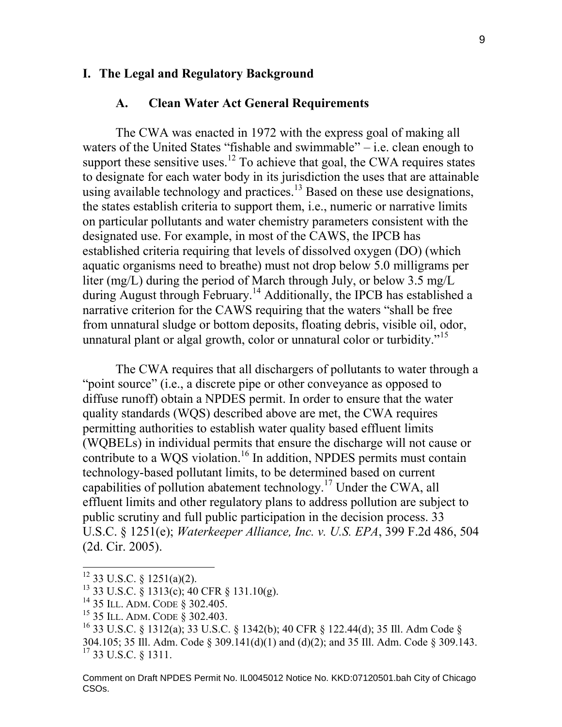#### **I. The Legal and Regulatory Background**

#### **A. Clean Water Act General Requirements**

The CWA was enacted in 1972 with the express goal of making all waters of the United States "fishable and swimmable" – i.e. clean enough to support these sensitive uses.<sup>12</sup> To achieve that goal, the CWA requires states to designate for each water body in its jurisdiction the uses that are attainable using available technology and practices.<sup>13</sup> Based on these use designations, the states establish criteria to support them, i.e., numeric or narrative limits on particular pollutants and water chemistry parameters consistent with the designated use. For example, in most of the CAWS, the IPCB has established criteria requiring that levels of dissolved oxygen (DO) (which aquatic organisms need to breathe) must not drop below 5.0 milligrams per liter (mg/L) during the period of March through July, or below 3.5 mg/L during August through February.<sup>14</sup> Additionally, the IPCB has established a narrative criterion for the CAWS requiring that the waters "shall be free from unnatural sludge or bottom deposits, floating debris, visible oil, odor, unnatural plant or algal growth, color or unnatural color or turbidity."<sup>15</sup>

The CWA requires that all dischargers of pollutants to water through a "point source" (i.e., a discrete pipe or other conveyance as opposed to diffuse runoff) obtain a NPDES permit. In order to ensure that the water quality standards (WQS) described above are met, the CWA requires permitting authorities to establish water quality based effluent limits (WQBELs) in individual permits that ensure the discharge will not cause or contribute to a WQS violation.<sup>16</sup> In addition, NPDES permits must contain technology-based pollutant limits, to be determined based on current capabilities of pollution abatement technology.<sup>17</sup> Under the CWA, all effluent limits and other regulatory plans to address pollution are subject to public scrutiny and full public participation in the decision process. 33 U.S.C. § 1251(e); *Waterkeeper Alliance, Inc. v. U.S. EPA*, 399 F.2d 486, 504 (2d. Cir. 2005).

 $12$  33 U.S.C. § 1251(a)(2).

 $13$  33 U.S.C.  $\frac{8}{9}$  1313(c); 40 CFR  $\frac{8}{9}$  131.10(g).

<sup>14</sup> 35 ILL. ADM. CODE § 302.405.

<sup>15</sup> 35 ILL. ADM. CODE § 302.403.

<sup>16</sup> 33 U.S.C. § 1312(a); 33 U.S.C. § 1342(b); 40 CFR § 122.44(d); 35 Ill. Adm Code § 304.105; 35 Ill. Adm. Code § 309.141(d)(1) and (d)(2); and 35 Ill. Adm. Code § 309.143. <sup>17</sup> 33 U.S.C. § 1311.

Comment on Draft NPDES Permit No. IL0045012 Notice No. KKD:07120501.bah City of Chicago CSOs.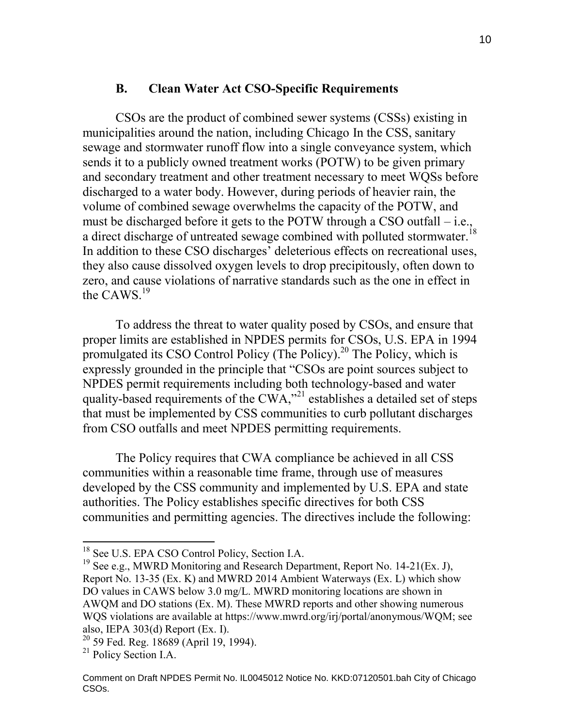#### **B. Clean Water Act CSO-Specific Requirements**

CSOs are the product of combined sewer systems (CSSs) existing in municipalities around the nation, including Chicago In the CSS, sanitary sewage and stormwater runoff flow into a single conveyance system, which sends it to a publicly owned treatment works (POTW) to be given primary and secondary treatment and other treatment necessary to meet WQSs before discharged to a water body. However, during periods of heavier rain, the volume of combined sewage overwhelms the capacity of the POTW, and must be discharged before it gets to the POTW through a CSO outfall – i.e., a direct discharge of untreated sewage combined with polluted stormwater.<sup>18</sup> In addition to these CSO discharges' deleterious effects on recreational uses, they also cause dissolved oxygen levels to drop precipitously, often down to zero, and cause violations of narrative standards such as the one in effect in the CAWS.<sup>19</sup>

To address the threat to water quality posed by CSOs, and ensure that proper limits are established in NPDES permits for CSOs, U.S. EPA in 1994 promulgated its CSO Control Policy (The Policy).<sup>20</sup> The Policy, which is expressly grounded in the principle that "CSOs are point sources subject to NPDES permit requirements including both technology-based and water quality-based requirements of the CWA,"<sup>21</sup> establishes a detailed set of steps that must be implemented by CSS communities to curb pollutant discharges from CSO outfalls and meet NPDES permitting requirements.

The Policy requires that CWA compliance be achieved in all CSS communities within a reasonable time frame, through use of measures developed by the CSS community and implemented by U.S. EPA and state authorities. The Policy establishes specific directives for both CSS communities and permitting agencies. The directives include the following:

<sup>&</sup>lt;sup>18</sup> See U.S. EPA CSO Control Policy, Section I.A.

<sup>&</sup>lt;sup>19</sup> See e.g., MWRD Monitoring and Research Department, Report No. 14-21(Ex. J), Report No. 13-35 (Ex. K) and MWRD 2014 Ambient Waterways (Ex. L) which show DO values in CAWS below 3.0 mg/L. MWRD monitoring locations are shown in AWQM and DO stations (Ex. M). These MWRD reports and other showing numerous WQS violations are available at https://www.mwrd.org/irj/portal/anonymous/WQM; see also, IEPA 303(d) Report (Ex. I).

<sup>20</sup> 59 Fed. Reg. 18689 (April 19, 1994).

<sup>&</sup>lt;sup>21</sup> Policy Section I.A.

Comment on Draft NPDES Permit No. IL0045012 Notice No. KKD:07120501.bah City of Chicago CSOs.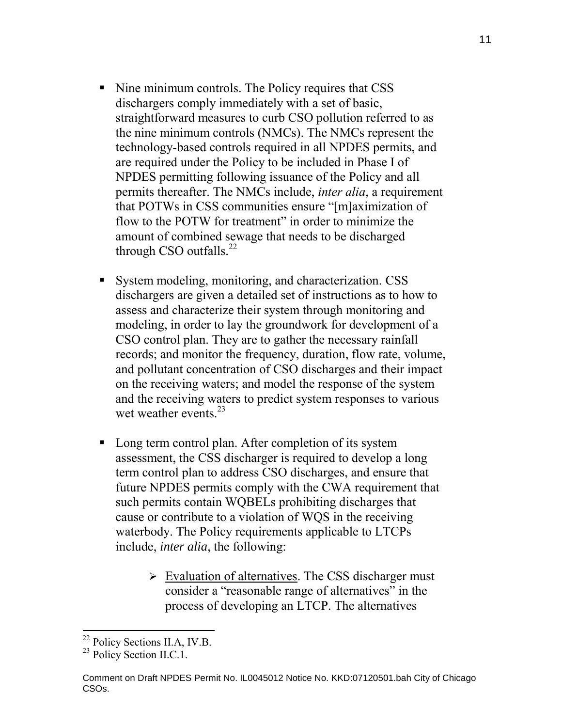- Nine minimum controls. The Policy requires that CSS dischargers comply immediately with a set of basic, straightforward measures to curb CSO pollution referred to as the nine minimum controls (NMCs). The NMCs represent the technology-based controls required in all NPDES permits, and are required under the Policy to be included in Phase I of NPDES permitting following issuance of the Policy and all permits thereafter. The NMCs include, *inter alia*, a requirement that POTWs in CSS communities ensure "[m]aximization of flow to the POTW for treatment" in order to minimize the amount of combined sewage that needs to be discharged through CSO outfalls.<sup>22</sup>
- System modeling, monitoring, and characterization. CSS dischargers are given a detailed set of instructions as to how to assess and characterize their system through monitoring and modeling, in order to lay the groundwork for development of a CSO control plan. They are to gather the necessary rainfall records; and monitor the frequency, duration, flow rate, volume, and pollutant concentration of CSO discharges and their impact on the receiving waters; and model the response of the system and the receiving waters to predict system responses to various wet weather events. $^{23}$
- Long term control plan. After completion of its system assessment, the CSS discharger is required to develop a long term control plan to address CSO discharges, and ensure that future NPDES permits comply with the CWA requirement that such permits contain WQBELs prohibiting discharges that cause or contribute to a violation of WQS in the receiving waterbody. The Policy requirements applicable to LTCPs include, *inter alia*, the following:
	- $\triangleright$  Evaluation of alternatives. The CSS discharger must consider a "reasonable range of alternatives" in the process of developing an LTCP. The alternatives

<sup>&</sup>lt;sup>22</sup> Policy Sections II.A, IV.B.

 $^{23}$  Policy Section II.C.1.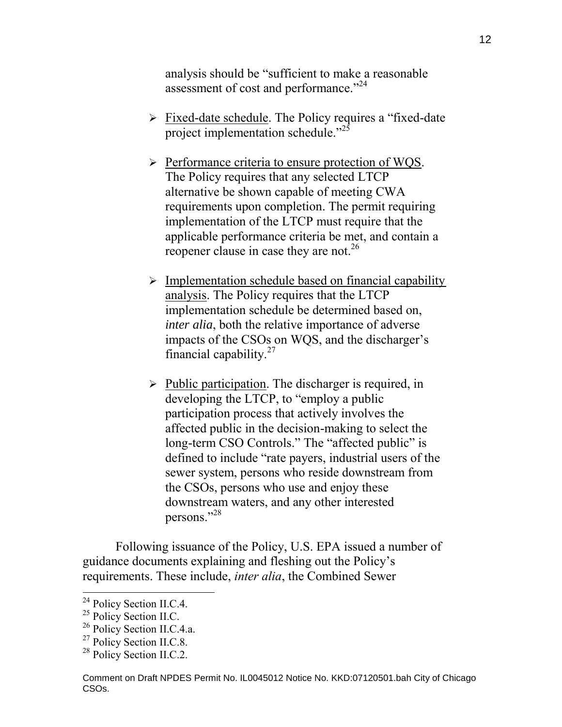analysis should be "sufficient to make a reasonable assessment of cost and performance."<sup>24</sup>

- $\triangleright$  Fixed-date schedule. The Policy requires a "fixed-date" project implementation schedule."<sup>25</sup>
- $\triangleright$  Performance criteria to ensure protection of WQS. The Policy requires that any selected LTCP alternative be shown capable of meeting CWA requirements upon completion. The permit requiring implementation of the LTCP must require that the applicable performance criteria be met, and contain a reopener clause in case they are not.<sup>26</sup>
- $\triangleright$  Implementation schedule based on financial capability analysis. The Policy requires that the LTCP implementation schedule be determined based on, *inter alia*, both the relative importance of adverse impacts of the CSOs on WQS, and the discharger's financial capability. $27$
- $\triangleright$  Public participation. The discharger is required, in developing the LTCP, to "employ a public participation process that actively involves the affected public in the decision-making to select the long-term CSO Controls." The "affected public" is defined to include "rate payers, industrial users of the sewer system, persons who reside downstream from the CSOs, persons who use and enjoy these downstream waters, and any other interested persons."<sup>28</sup>

Following issuance of the Policy, U.S. EPA issued a number of guidance documents explaining and fleshing out the Policy's requirements. These include, *inter alia*, the Combined Sewer

<sup>&</sup>lt;sup>24</sup> Policy Section II.C.4.

<sup>&</sup>lt;sup>25</sup> Policy Section II.C.

<sup>&</sup>lt;sup>26</sup> Policy Section II.C.4.a.

<sup>&</sup>lt;sup>27</sup> Policy Section II.C.8.

<sup>&</sup>lt;sup>28</sup> Policy Section II.C.2.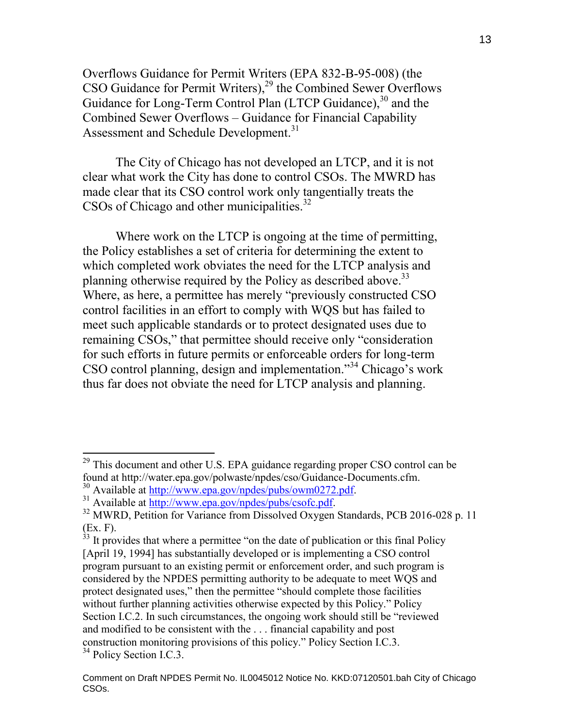Overflows Guidance for Permit Writers (EPA 832-B-95-008) (the CSO Guidance for Permit Writers),<sup>29</sup> the Combined Sewer Overflows Guidance for Long-Term Control Plan (LTCP Guidance),<sup>30</sup> and the Combined Sewer Overflows – Guidance for Financial Capability Assessment and Schedule Development.<sup>31</sup>

 The City of Chicago has not developed an LTCP, and it is not clear what work the City has done to control CSOs. The MWRD has made clear that its CSO control work only tangentially treats the CSOs of Chicago and other municipalities.<sup>32</sup>

 Where work on the LTCP is ongoing at the time of permitting, the Policy establishes a set of criteria for determining the extent to which completed work obviates the need for the LTCP analysis and planning otherwise required by the Policy as described above.<sup>33</sup> Where, as here, a permittee has merely "previously constructed CSO control facilities in an effort to comply with WQS but has failed to meet such applicable standards or to protect designated uses due to remaining CSOs," that permittee should receive only "consideration for such efforts in future permits or enforceable orders for long-term CSO control planning, design and implementation.<sup>34</sup> Chicago's work thus far does not obviate the need for LTCP analysis and planning.

 $^{29}$  This document and other U.S. EPA guidance regarding proper CSO control can be found at http://water.epa.gov/polwaste/npdes/cso/Guidance-Documents.cfm.

<sup>30</sup> Available at http://www.epa.gov/npdes/pubs/owm0272.pdf.

 $31$  Available at  $\frac{http://www.epa.gov/npdes/pubs/csofc.pdf}{http://www.epa.gov/npdes/pubs/csofc.pdf}$ .

<sup>&</sup>lt;sup>32</sup> MWRD, Petition for Variance from Dissolved Oxygen Standards, PCB 2016-028 p. 11  $\frac{\text{(Ex. F)}}{\text{33}}$  It prov

It provides that where a permittee "on the date of publication or this final Policy [April 19, 1994] has substantially developed or is implementing a CSO control program pursuant to an existing permit or enforcement order, and such program is considered by the NPDES permitting authority to be adequate to meet WQS and protect designated uses," then the permittee "should complete those facilities without further planning activities otherwise expected by this Policy." Policy Section I.C.2. In such circumstances, the ongoing work should still be "reviewed and modified to be consistent with the . . . financial capability and post construction monitoring provisions of this policy." Policy Section I.C.3. <sup>34</sup> Policy Section I.C.3.

Comment on Draft NPDES Permit No. IL0045012 Notice No. KKD:07120501.bah City of Chicago CSOs.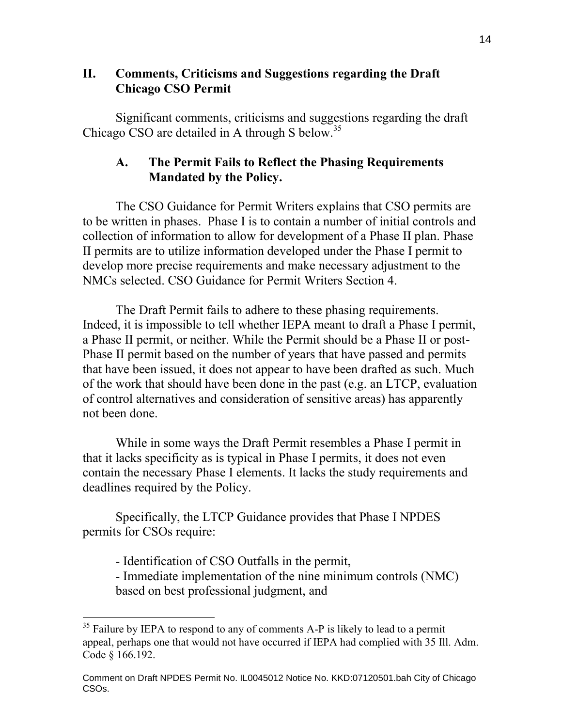## **II. Comments, Criticisms and Suggestions regarding the Draft Chicago CSO Permit**

Significant comments, criticisms and suggestions regarding the draft Chicago CSO are detailed in A through S below.<sup>35</sup>

## **A. The Permit Fails to Reflect the Phasing Requirements Mandated by the Policy.**

The CSO Guidance for Permit Writers explains that CSO permits are to be written in phases. Phase I is to contain a number of initial controls and collection of information to allow for development of a Phase II plan. Phase II permits are to utilize information developed under the Phase I permit to develop more precise requirements and make necessary adjustment to the NMCs selected. CSO Guidance for Permit Writers Section 4.

The Draft Permit fails to adhere to these phasing requirements. Indeed, it is impossible to tell whether IEPA meant to draft a Phase I permit, a Phase II permit, or neither. While the Permit should be a Phase II or post-Phase II permit based on the number of years that have passed and permits that have been issued, it does not appear to have been drafted as such. Much of the work that should have been done in the past (e.g. an LTCP, evaluation of control alternatives and consideration of sensitive areas) has apparently not been done.

While in some ways the Draft Permit resembles a Phase I permit in that it lacks specificity as is typical in Phase I permits, it does not even contain the necessary Phase I elements. It lacks the study requirements and deadlines required by the Policy.

Specifically, the LTCP Guidance provides that Phase I NPDES permits for CSOs require:

- Identification of CSO Outfalls in the permit,

 $\overline{a}$ 

 - Immediate implementation of the nine minimum controls (NMC) based on best professional judgment, and

 $35$  Failure by IEPA to respond to any of comments A-P is likely to lead to a permit appeal, perhaps one that would not have occurred if IEPA had complied with 35 Ill. Adm. Code § 166.192.

Comment on Draft NPDES Permit No. IL0045012 Notice No. KKD:07120501.bah City of Chicago CSOs.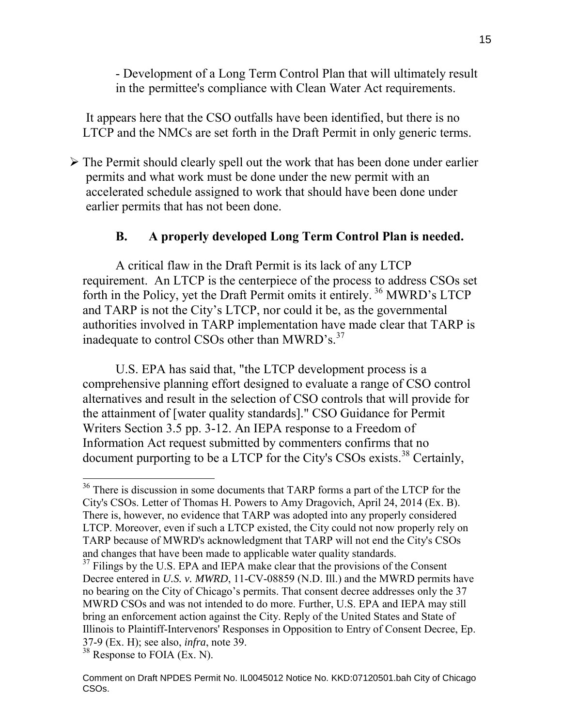- Development of a Long Term Control Plan that will ultimately result in the permittee's compliance with Clean Water Act requirements.

It appears here that the CSO outfalls have been identified, but there is no LTCP and the NMCs are set forth in the Draft Permit in only generic terms.

 $\triangleright$  The Permit should clearly spell out the work that has been done under earlier permits and what work must be done under the new permit with an accelerated schedule assigned to work that should have been done under earlier permits that has not been done.

### **B. A properly developed Long Term Control Plan is needed.**

A critical flaw in the Draft Permit is its lack of any LTCP requirement. An LTCP is the centerpiece of the process to address CSOs set forth in the Policy, yet the Draft Permit omits it entirely. <sup>36</sup> MWRD's LTCP and TARP is not the City's LTCP, nor could it be, as the governmental authorities involved in TARP implementation have made clear that TARP is inadequate to control CSOs other than MWRD's. $37$ 

U.S. EPA has said that, "the LTCP development process is a comprehensive planning effort designed to evaluate a range of CSO control alternatives and result in the selection of CSO controls that will provide for the attainment of [water quality standards]." CSO Guidance for Permit Writers Section 3.5 pp. 3-12. An IEPA response to a Freedom of Information Act request submitted by commenters confirms that no document purporting to be a LTCP for the City's CSOs exists.<sup>38</sup> Certainly,

<sup>&</sup>lt;sup>36</sup> There is discussion in some documents that TARP forms a part of the LTCP for the City's CSOs. Letter of Thomas H. Powers to Amy Dragovich, April 24, 2014 (Ex. B). There is, however, no evidence that TARP was adopted into any properly considered LTCP. Moreover, even if such a LTCP existed, the City could not now properly rely on TARP because of MWRD's acknowledgment that TARP will not end the City's CSOs and changes that have been made to applicable water quality standards.

 $37$  Filings by the U.S. EPA and IEPA make clear that the provisions of the Consent Decree entered in *U.S. v. MWRD*, 11-CV-08859 (N.D. Ill.) and the MWRD permits have no bearing on the City of Chicago's permits. That consent decree addresses only the 37 MWRD CSOs and was not intended to do more. Further, U.S. EPA and IEPA may still bring an enforcement action against the City. Reply of the United States and State of Illinois to Plaintiff-Intervenors' Responses in Opposition to Entry of Consent Decree, Ep. 37-9 (Ex. H); see also, *infra*, note 39.

<sup>38</sup> Response to FOIA (Ex. N).

Comment on Draft NPDES Permit No. IL0045012 Notice No. KKD:07120501.bah City of Chicago CSOs.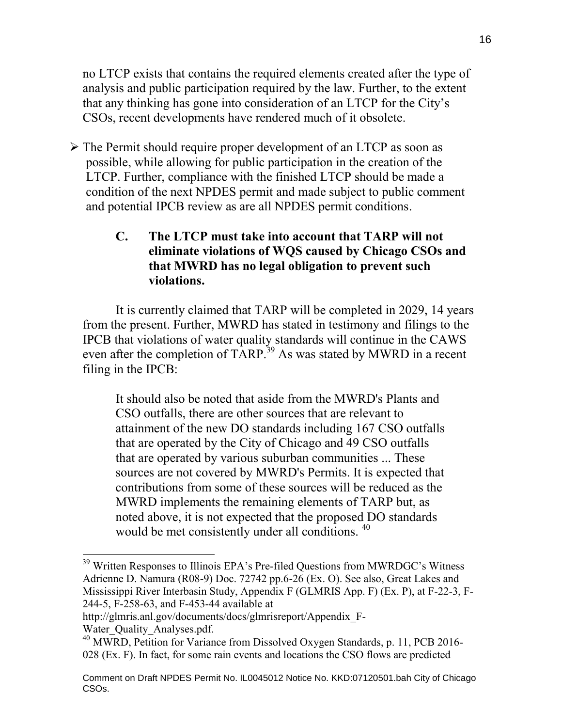no LTCP exists that contains the required elements created after the type of analysis and public participation required by the law. Further, to the extent that any thinking has gone into consideration of an LTCP for the City's CSOs, recent developments have rendered much of it obsolete.

 The Permit should require proper development of an LTCP as soon as possible, while allowing for public participation in the creation of the LTCP. Further, compliance with the finished LTCP should be made a condition of the next NPDES permit and made subject to public comment and potential IPCB review as are all NPDES permit conditions.

## **C. The LTCP must take into account that TARP will not eliminate violations of WQS caused by Chicago CSOs and that MWRD has no legal obligation to prevent such violations.**

It is currently claimed that TARP will be completed in 2029, 14 years from the present. Further, MWRD has stated in testimony and filings to the IPCB that violations of water quality standards will continue in the CAWS even after the completion of TARP.<sup>39</sup> As was stated by MWRD in a recent filing in the IPCB:

It should also be noted that aside from the MWRD's Plants and CSO outfalls, there are other sources that are relevant to attainment of the new DO standards including 167 CSO outfalls that are operated by the City of Chicago and 49 CSO outfalls that are operated by various suburban communities ... These sources are not covered by MWRD's Permits. It is expected that contributions from some of these sources will be reduced as the MWRD implements the remaining elements of TARP but, as noted above, it is not expected that the proposed DO standards would be met consistently under all conditions. <sup>40</sup>

 $39$  Written Responses to Illinois EPA's Pre-filed Questions from MWRDGC's Witness Adrienne D. Namura (R08-9) Doc. 72742 pp.6-26 (Ex. O). See also, Great Lakes and Mississippi River Interbasin Study, Appendix F (GLMRIS App. F) (Ex. P), at F-22-3, F-244-5, F-258-63, and F-453-44 available at

http://glmris.anl.gov/documents/docs/glmrisreport/Appendix\_F-

Water\_Quality\_Analyses.pdf.

<sup>&</sup>lt;sup>40</sup> MWRD, Petition for Variance from Dissolved Oxygen Standards, p. 11, PCB 2016-028 (Ex. F). In fact, for some rain events and locations the CSO flows are predicted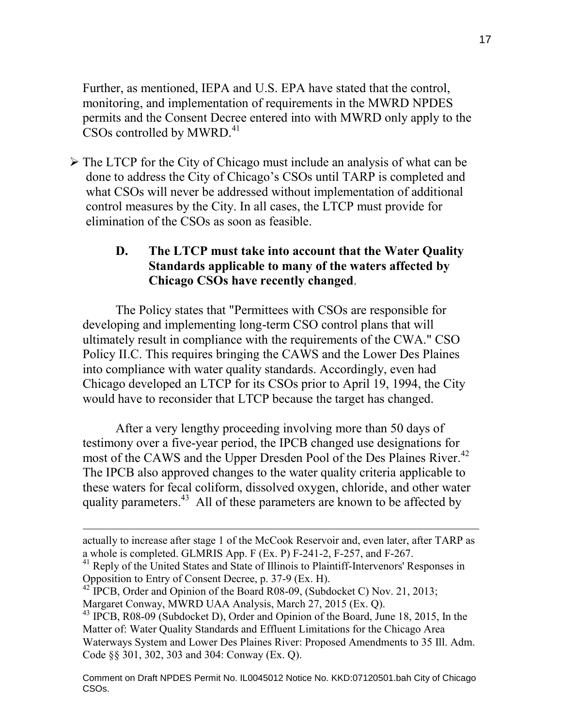Further, as mentioned, IEPA and U.S. EPA have stated that the control, monitoring, and implementation of requirements in the MWRD NPDES permits and the Consent Decree entered into with MWRD only apply to the  $\text{CSOs controlled by MWRD.}^{41}$ 

 $\triangleright$  The LTCP for the City of Chicago must include an analysis of what can be done to address the City of Chicago's CSOs until TARP is completed and what CSOs will never be addressed without implementation of additional control measures by the City. In all cases, the LTCP must provide for elimination of the CSOs as soon as feasible.

### **D. The LTCP must take into account that the Water Quality Standards applicable to many of the waters affected by Chicago CSOs have recently changed**.

The Policy states that "Permittees with CSOs are responsible for developing and implementing long-term CSO control plans that will ultimately result in compliance with the requirements of the CWA." CSO Policy II.C. This requires bringing the CAWS and the Lower Des Plaines into compliance with water quality standards. Accordingly, even had Chicago developed an LTCP for its CSOs prior to April 19, 1994, the City would have to reconsider that LTCP because the target has changed.

After a very lengthy proceeding involving more than 50 days of testimony over a five-year period, the IPCB changed use designations for most of the CAWS and the Upper Dresden Pool of the Des Plaines River.<sup>42</sup> The IPCB also approved changes to the water quality criteria applicable to these waters for fecal coliform, dissolved oxygen, chloride, and other water quality parameters.<sup>43</sup> All of these parameters are known to be affected by

actually to increase after stage 1 of the McCook Reservoir and, even later, after TARP as a whole is completed. GLMRIS App. F (Ex. P) F-241-2, F-257, and F-267.

<sup>&</sup>lt;sup>41</sup> Reply of the United States and State of Illinois to Plaintiff-Intervenors' Responses in Opposition to Entry of Consent Decree, p. 37-9 (Ex. H).

 $42$  IPCB, Order and Opinion of the Board R08-09, (Subdocket C) Nov. 21, 2013; Margaret Conway, MWRD UAA Analysis, March 27, 2015 (Ex. Q).

<sup>&</sup>lt;sup>43</sup> IPCB, R08-09 (Subdocket D), Order and Opinion of the Board, June 18, 2015, In the Matter of: Water Quality Standards and Effluent Limitations for the Chicago Area Waterways System and Lower Des Plaines River: Proposed Amendments to 35 Ill. Adm. Code §§ 301, 302, 303 and 304: Conway (Ex. Q).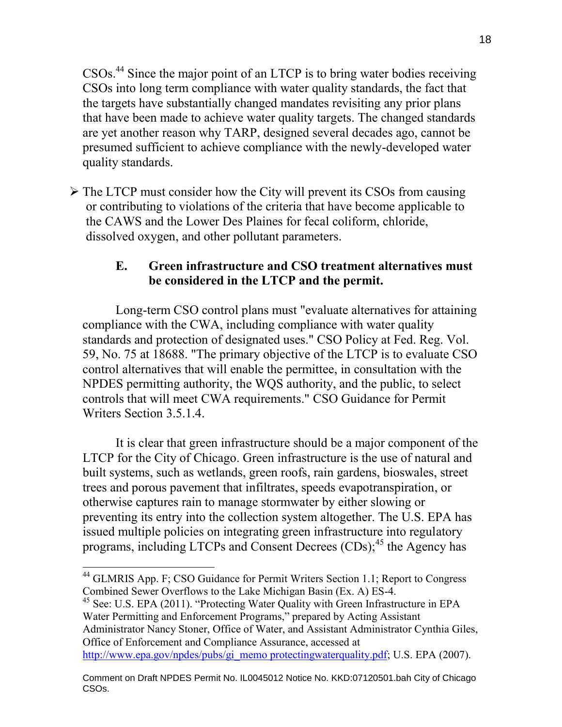CSOs.<sup>44</sup> Since the major point of an LTCP is to bring water bodies receiving CSOs into long term compliance with water quality standards, the fact that the targets have substantially changed mandates revisiting any prior plans that have been made to achieve water quality targets. The changed standards are yet another reason why TARP, designed several decades ago, cannot be presumed sufficient to achieve compliance with the newly-developed water quality standards.

 $\triangleright$  The LTCP must consider how the City will prevent its CSOs from causing or contributing to violations of the criteria that have become applicable to the CAWS and the Lower Des Plaines for fecal coliform, chloride, dissolved oxygen, and other pollutant parameters.

# **E. Green infrastructure and CSO treatment alternatives must be considered in the LTCP and the permit.**

 Long-term CSO control plans must "evaluate alternatives for attaining compliance with the CWA, including compliance with water quality standards and protection of designated uses." CSO Policy at Fed. Reg. Vol. 59, No. 75 at 18688. "The primary objective of the LTCP is to evaluate CSO control alternatives that will enable the permittee, in consultation with the NPDES permitting authority, the WQS authority, and the public, to select controls that will meet CWA requirements." CSO Guidance for Permit Writers Section 3.5.1.4.

It is clear that green infrastructure should be a major component of the LTCP for the City of Chicago. Green infrastructure is the use of natural and built systems, such as wetlands, green roofs, rain gardens, bioswales, street trees and porous pavement that infiltrates, speeds evapotranspiration, or otherwise captures rain to manage stormwater by either slowing or preventing its entry into the collection system altogether. The U.S. EPA has issued multiple policies on integrating green infrastructure into regulatory programs, including LTCPs and Consent Decrees  $(CDs)$ ;<sup>45</sup> the Agency has

<sup>45</sup> See: U.S. EPA (2011). "Protecting Water Quality with Green Infrastructure in EPA Water Permitting and Enforcement Programs," prepared by Acting Assistant Administrator Nancy Stoner, Office of Water, and Assistant Administrator Cynthia Giles, Office of Enforcement and Compliance Assurance, accessed at http://www.epa.gov/npdes/pubs/gi\_memo protectingwaterquality.pdf; U.S. EPA (2007).

 $\overline{a}$ <sup>44</sup> GLMRIS App. F; CSO Guidance for Permit Writers Section 1.1; Report to Congress Combined Sewer Overflows to the Lake Michigan Basin (Ex. A) ES-4.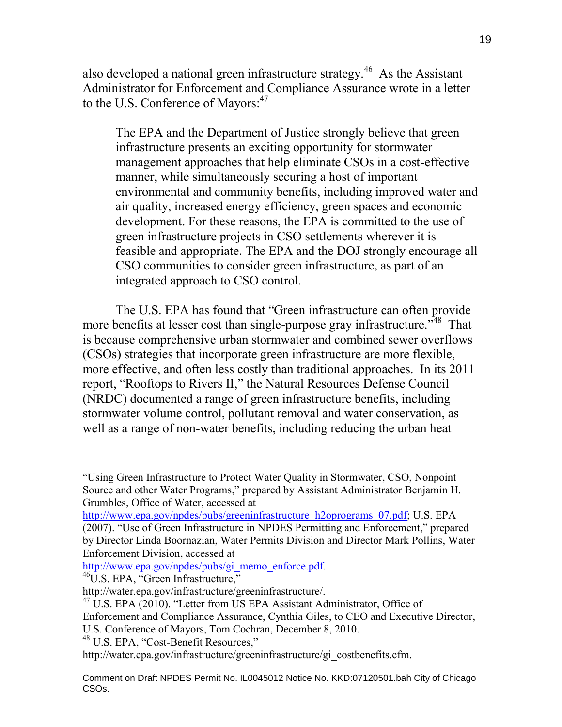also developed a national green infrastructure strategy.<sup>46</sup> As the Assistant Administrator for Enforcement and Compliance Assurance wrote in a letter to the U.S. Conference of Mayors:<sup>47</sup>

The EPA and the Department of Justice strongly believe that green infrastructure presents an exciting opportunity for stormwater management approaches that help eliminate CSOs in a cost-effective manner, while simultaneously securing a host of important environmental and community benefits, including improved water and air quality, increased energy efficiency, green spaces and economic development. For these reasons, the EPA is committed to the use of green infrastructure projects in CSO settlements wherever it is feasible and appropriate. The EPA and the DOJ strongly encourage all CSO communities to consider green infrastructure, as part of an integrated approach to CSO control.

The U.S. EPA has found that "Green infrastructure can often provide more benefits at lesser cost than single-purpose gray infrastructure.<sup>748</sup> That is because comprehensive urban stormwater and combined sewer overflows (CSOs) strategies that incorporate green infrastructure are more flexible, more effective, and often less costly than traditional approaches. In its 2011 report, "Rooftops to Rivers II," the Natural Resources Defense Council (NRDC) documented a range of green infrastructure benefits, including stormwater volume control, pollutant removal and water conservation, as well as a range of non-water benefits, including reducing the urban heat

http://www.epa.gov/npdes/pubs/gi\_memo\_enforce.pdf.

<sup>&</sup>quot;Using Green Infrastructure to Protect Water Quality in Stormwater, CSO, Nonpoint Source and other Water Programs," prepared by Assistant Administrator Benjamin H. Grumbles, Office of Water, accessed at

http://www.epa.gov/npdes/pubs/greeninfrastructure\_h2oprograms\_07.pdf; U.S. EPA (2007). "Use of Green Infrastructure in NPDES Permitting and Enforcement," prepared by Director Linda Boornazian, Water Permits Division and Director Mark Pollins, Water Enforcement Division, accessed at

<sup>&</sup>lt;sup>46</sup>U.S. EPA, "Green Infrastructure,"

http://water.epa.gov/infrastructure/greeninfrastructure/.

<sup>&</sup>lt;sup>47</sup> U.S. EPA (2010). "Letter from US EPA Assistant Administrator, Office of

Enforcement and Compliance Assurance, Cynthia Giles, to CEO and Executive Director,

U.S. Conference of Mayors, Tom Cochran, December 8, 2010.

<sup>48</sup> U.S. EPA, "Cost-Benefit Resources,"

http://water.epa.gov/infrastructure/greeninfrastructure/gi\_costbenefits.cfm.

Comment on Draft NPDES Permit No. IL0045012 Notice No. KKD:07120501.bah City of Chicago CSOs.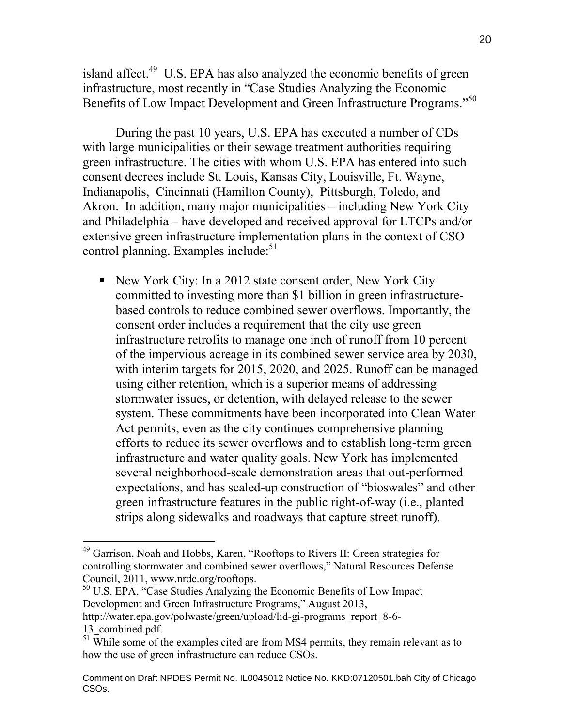island affect.<sup>49</sup> U.S. EPA has also analyzed the economic benefits of green infrastructure, most recently in "Case Studies Analyzing the Economic Benefits of Low Impact Development and Green Infrastructure Programs."<sup>50</sup>

During the past 10 years, U.S. EPA has executed a number of CDs with large municipalities or their sewage treatment authorities requiring green infrastructure. The cities with whom U.S. EPA has entered into such consent decrees include St. Louis, Kansas City, Louisville, Ft. Wayne, Indianapolis, Cincinnati (Hamilton County), Pittsburgh, Toledo, and Akron. In addition, many major municipalities – including New York City and Philadelphia – have developed and received approval for LTCPs and/or extensive green infrastructure implementation plans in the context of CSO control planning. Examples include:<sup>51</sup>

New York City: In a 2012 state consent order, New York City committed to investing more than \$1 billion in green infrastructurebased controls to reduce combined sewer overflows. Importantly, the consent order includes a requirement that the city use green infrastructure retrofits to manage one inch of runoff from 10 percent of the impervious acreage in its combined sewer service area by 2030, with interim targets for 2015, 2020, and 2025. Runoff can be managed using either retention, which is a superior means of addressing stormwater issues, or detention, with delayed release to the sewer system. These commitments have been incorporated into Clean Water Act permits, even as the city continues comprehensive planning efforts to reduce its sewer overflows and to establish long-term green infrastructure and water quality goals. New York has implemented several neighborhood-scale demonstration areas that out-performed expectations, and has scaled-up construction of "bioswales" and other green infrastructure features in the public right-of-way (i.e., planted strips along sidewalks and roadways that capture street runoff).

<sup>50</sup> U.S. EPA, "Case Studies Analyzing the Economic Benefits of Low Impact Development and Green Infrastructure Programs," August 2013, http://water.epa.gov/polwaste/green/upload/lid-gi-programs\_report\_8-6-

13 combined.pdf.

<sup>&</sup>lt;sup>49</sup> Garrison, Noah and Hobbs, Karen, "Rooftops to Rivers II: Green strategies for controlling stormwater and combined sewer overflows," Natural Resources Defense Council, 2011, www.nrdc.org/rooftops.

 $51$  While some of the examples cited are from MS4 permits, they remain relevant as to how the use of green infrastructure can reduce CSOs.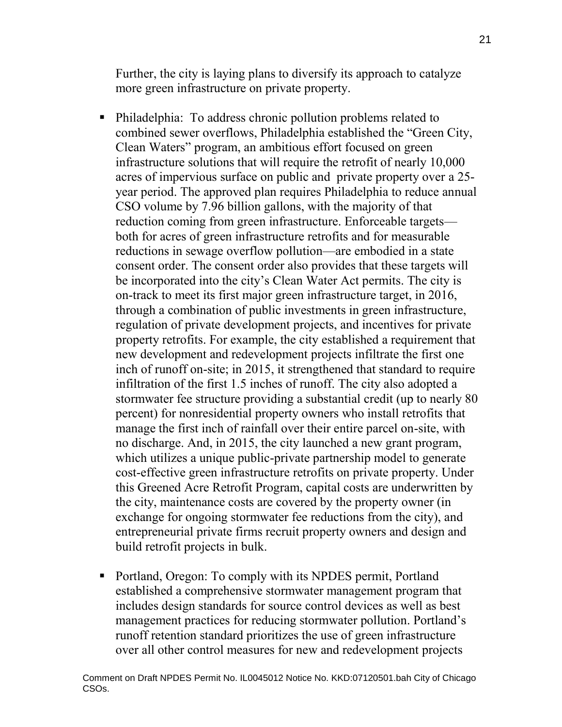Further, the city is laying plans to diversify its approach to catalyze more green infrastructure on private property.

- Philadelphia: To address chronic pollution problems related to combined sewer overflows, Philadelphia established the "Green City, Clean Waters" program, an ambitious effort focused on green infrastructure solutions that will require the retrofit of nearly 10,000 acres of impervious surface on public and private property over a 25 year period. The approved plan requires Philadelphia to reduce annual CSO volume by 7.96 billion gallons, with the majority of that reduction coming from green infrastructure. Enforceable targets both for acres of green infrastructure retrofits and for measurable reductions in sewage overflow pollution—are embodied in a state consent order. The consent order also provides that these targets will be incorporated into the city's Clean Water Act permits. The city is on-track to meet its first major green infrastructure target, in 2016, through a combination of public investments in green infrastructure, regulation of private development projects, and incentives for private property retrofits. For example, the city established a requirement that new development and redevelopment projects infiltrate the first one inch of runoff on-site; in 2015, it strengthened that standard to require infiltration of the first 1.5 inches of runoff. The city also adopted a stormwater fee structure providing a substantial credit (up to nearly 80 percent) for nonresidential property owners who install retrofits that manage the first inch of rainfall over their entire parcel on-site, with no discharge. And, in 2015, the city launched a new grant program, which utilizes a unique public-private partnership model to generate cost-effective green infrastructure retrofits on private property. Under this Greened Acre Retrofit Program, capital costs are underwritten by the city, maintenance costs are covered by the property owner (in exchange for ongoing stormwater fee reductions from the city), and entrepreneurial private firms recruit property owners and design and build retrofit projects in bulk.
- Portland, Oregon: To comply with its NPDES permit, Portland established a comprehensive stormwater management program that includes design standards for source control devices as well as best management practices for reducing stormwater pollution. Portland's runoff retention standard prioritizes the use of green infrastructure over all other control measures for new and redevelopment projects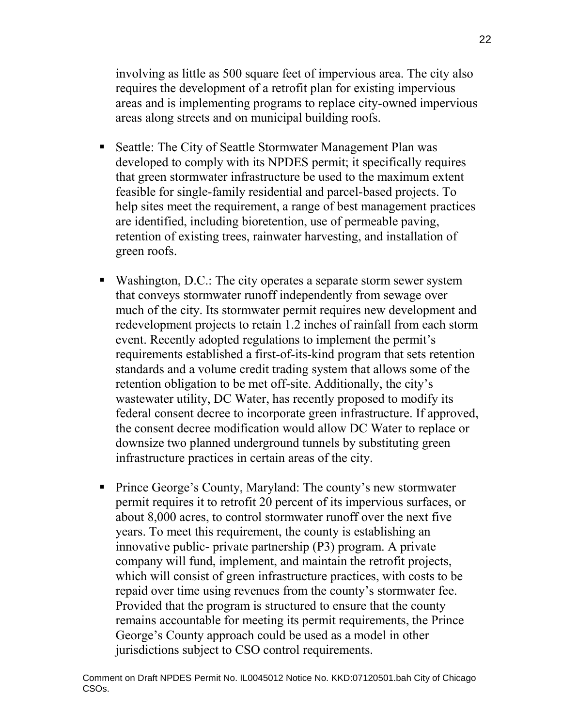involving as little as 500 square feet of impervious area. The city also requires the development of a retrofit plan for existing impervious areas and is implementing programs to replace city-owned impervious areas along streets and on municipal building roofs.

- Seattle: The City of Seattle Stormwater Management Plan was developed to comply with its NPDES permit; it specifically requires that green stormwater infrastructure be used to the maximum extent feasible for single-family residential and parcel-based projects. To help sites meet the requirement, a range of best management practices are identified, including bioretention, use of permeable paving, retention of existing trees, rainwater harvesting, and installation of green roofs.
- Washington, D.C.: The city operates a separate storm sewer system that conveys stormwater runoff independently from sewage over much of the city. Its stormwater permit requires new development and redevelopment projects to retain 1.2 inches of rainfall from each storm event. Recently adopted regulations to implement the permit's requirements established a first-of-its-kind program that sets retention standards and a volume credit trading system that allows some of the retention obligation to be met off-site. Additionally, the city's wastewater utility, DC Water, has recently proposed to modify its federal consent decree to incorporate green infrastructure. If approved, the consent decree modification would allow DC Water to replace or downsize two planned underground tunnels by substituting green infrastructure practices in certain areas of the city.
- Prince George's County, Maryland: The county's new stormwater permit requires it to retrofit 20 percent of its impervious surfaces, or about 8,000 acres, to control stormwater runoff over the next five years. To meet this requirement, the county is establishing an innovative public- private partnership (P3) program. A private company will fund, implement, and maintain the retrofit projects, which will consist of green infrastructure practices, with costs to be repaid over time using revenues from the county's stormwater fee. Provided that the program is structured to ensure that the county remains accountable for meeting its permit requirements, the Prince George's County approach could be used as a model in other jurisdictions subject to CSO control requirements.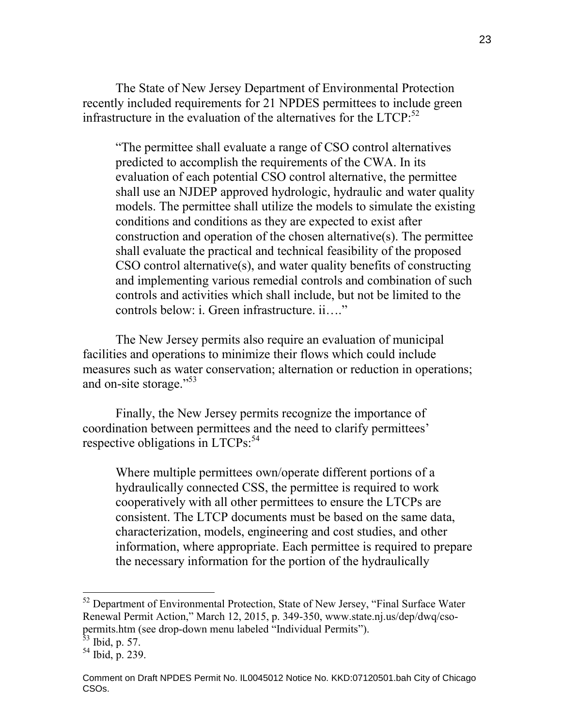The State of New Jersey Department of Environmental Protection recently included requirements for 21 NPDES permittees to include green infrastructure in the evaluation of the alternatives for the  $LTCP$ :<sup>52</sup>

"The permittee shall evaluate a range of CSO control alternatives predicted to accomplish the requirements of the CWA. In its evaluation of each potential CSO control alternative, the permittee shall use an NJDEP approved hydrologic, hydraulic and water quality models. The permittee shall utilize the models to simulate the existing conditions and conditions as they are expected to exist after construction and operation of the chosen alternative(s). The permittee shall evaluate the practical and technical feasibility of the proposed CSO control alternative(s), and water quality benefits of constructing and implementing various remedial controls and combination of such controls and activities which shall include, but not be limited to the controls below: i. Green infrastructure. ii...."

The New Jersey permits also require an evaluation of municipal facilities and operations to minimize their flows which could include measures such as water conservation; alternation or reduction in operations; and on-site storage."<sup>53</sup>

Finally, the New Jersey permits recognize the importance of coordination between permittees and the need to clarify permittees' respective obligations in LTCPs:<sup>54</sup>

Where multiple permittees own/operate different portions of a hydraulically connected CSS, the permittee is required to work cooperatively with all other permittees to ensure the LTCPs are consistent. The LTCP documents must be based on the same data, characterization, models, engineering and cost studies, and other information, where appropriate. Each permittee is required to prepare the necessary information for the portion of the hydraulically

<sup>&</sup>lt;sup>52</sup> Department of Environmental Protection, State of New Jersey, "Final Surface Water Renewal Permit Action," March 12, 2015, p. 349-350, www.state.nj.us/dep/dwq/csopermits.htm (see drop-down menu labeled "Individual Permits").

 $53$  Ibid, p. 57.

<sup>54</sup> Ibid, p. 239.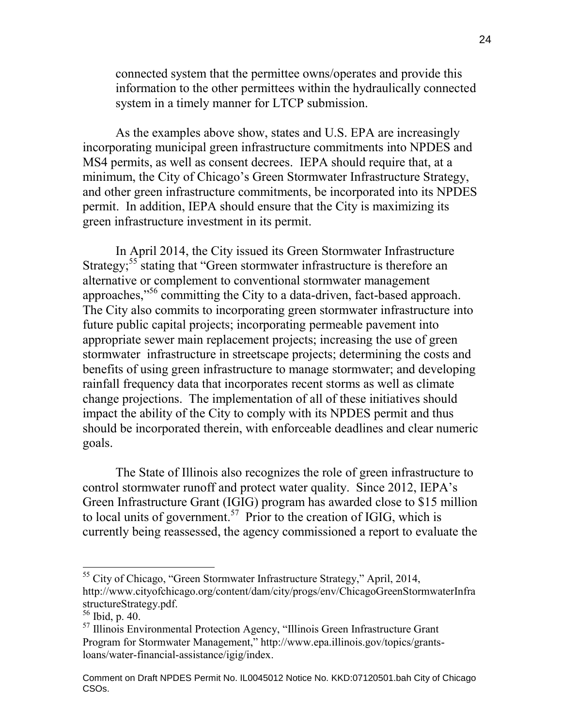connected system that the permittee owns/operates and provide this information to the other permittees within the hydraulically connected system in a timely manner for LTCP submission.

As the examples above show, states and U.S. EPA are increasingly incorporating municipal green infrastructure commitments into NPDES and MS4 permits, as well as consent decrees. IEPA should require that, at a minimum, the City of Chicago's Green Stormwater Infrastructure Strategy, and other green infrastructure commitments, be incorporated into its NPDES permit. In addition, IEPA should ensure that the City is maximizing its green infrastructure investment in its permit.

In April 2014, the City issued its Green Stormwater Infrastructure Strategy;<sup>55</sup> stating that "Green stormwater infrastructure is therefore an alternative or complement to conventional stormwater management approaches,"<sup>56</sup> committing the City to a data-driven, fact-based approach. The City also commits to incorporating green stormwater infrastructure into future public capital projects; incorporating permeable pavement into appropriate sewer main replacement projects; increasing the use of green stormwater infrastructure in streetscape projects; determining the costs and benefits of using green infrastructure to manage stormwater; and developing rainfall frequency data that incorporates recent storms as well as climate change projections. The implementation of all of these initiatives should impact the ability of the City to comply with its NPDES permit and thus should be incorporated therein, with enforceable deadlines and clear numeric goals.

The State of Illinois also recognizes the role of green infrastructure to control stormwater runoff and protect water quality. Since 2012, IEPA's Green Infrastructure Grant (IGIG) program has awarded close to \$15 million to local units of government.<sup>57</sup> Prior to the creation of IGIG, which is currently being reassessed, the agency commissioned a report to evaluate the

<sup>&</sup>lt;sup>55</sup> City of Chicago, "Green Stormwater Infrastructure Strategy," April, 2014, http://www.cityofchicago.org/content/dam/city/progs/env/ChicagoGreenStormwaterInfra structureStrategy.pdf.

<sup>56</sup> Ibid, p. 40.

 $57$  Illinois Environmental Protection Agency, "Illinois Green Infrastructure Grant Program for Stormwater Management," http://www.epa.illinois.gov/topics/grantsloans/water-financial-assistance/igig/index.

Comment on Draft NPDES Permit No. IL0045012 Notice No. KKD:07120501.bah City of Chicago CSOs.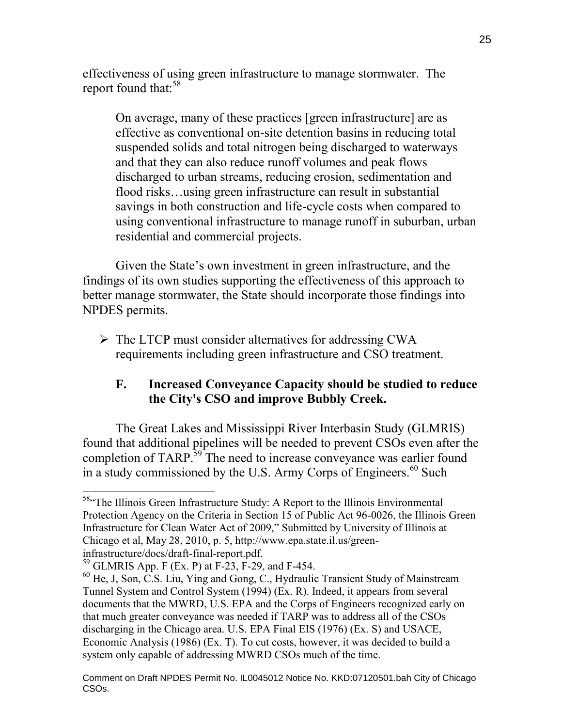effectiveness of using green infrastructure to manage stormwater. The report found that:<sup>58</sup>

On average, many of these practices [green infrastructure] are as effective as conventional on-site detention basins in reducing total suspended solids and total nitrogen being discharged to waterways and that they can also reduce runoff volumes and peak flows discharged to urban streams, reducing erosion, sedimentation and flood risks…using green infrastructure can result in substantial savings in both construction and life-cycle costs when compared to using conventional infrastructure to manage runoff in suburban, urban residential and commercial projects.

Given the State's own investment in green infrastructure, and the findings of its own studies supporting the effectiveness of this approach to better manage stormwater, the State should incorporate those findings into NPDES permits.

 $\triangleright$  The LTCP must consider alternatives for addressing CWA requirements including green infrastructure and CSO treatment.

# **F. Increased Conveyance Capacity should be studied to reduce the City's CSO and improve Bubbly Creek.**

The Great Lakes and Mississippi River Interbasin Study (GLMRIS) found that additional pipelines will be needed to prevent CSOs even after the completion of TARP.<sup>39</sup> The need to increase conveyance was earlier found in a study commissioned by the U.S. Army Corps of Engineers.<sup>60</sup> Such

 $\overline{a}$ <sup>58.</sup> The Illinois Green Infrastructure Study: A Report to the Illinois Environmental Protection Agency on the Criteria in Section 15 of Public Act 96-0026, the Illinois Green Infrastructure for Clean Water Act of 2009," Submitted by University of Illinois at Chicago et al, May 28, 2010, p. 5, http://www.epa.state.il.us/greeninfrastructure/docs/draft-final-report.pdf.

<sup>59</sup> GLMRIS App. F (Ex. P) at F-23, F-29, and F-454.

<sup>60</sup> He, J, Son, C.S. Liu, Ying and Gong, C., Hydraulic Transient Study of Mainstream Tunnel System and Control System (1994) (Ex. R). Indeed, it appears from several documents that the MWRD, U.S. EPA and the Corps of Engineers recognized early on that much greater conveyance was needed if TARP was to address all of the CSOs discharging in the Chicago area. U.S. EPA Final EIS (1976) (Ex. S) and USACE, Economic Analysis (1986) (Ex. T). To cut costs, however, it was decided to build a system only capable of addressing MWRD CSOs much of the time.

Comment on Draft NPDES Permit No. IL0045012 Notice No. KKD:07120501.bah City of Chicago CSOs.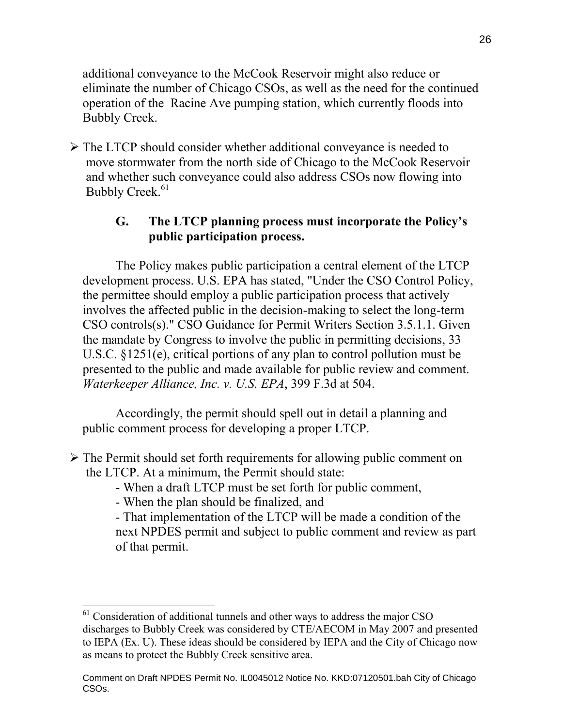additional conveyance to the McCook Reservoir might also reduce or eliminate the number of Chicago CSOs, as well as the need for the continued operation of the Racine Ave pumping station, which currently floods into Bubbly Creek.

 $\triangleright$  The LTCP should consider whether additional conveyance is needed to move stormwater from the north side of Chicago to the McCook Reservoir and whether such conveyance could also address CSOs now flowing into Bubbly Creek.<sup>61</sup>

# **G. The LTCP planning process must incorporate the Policy's public participation process.**

The Policy makes public participation a central element of the LTCP development process. U.S. EPA has stated, "Under the CSO Control Policy, the permittee should employ a public participation process that actively involves the affected public in the decision-making to select the long-term CSO controls(s)." CSO Guidance for Permit Writers Section 3.5.1.1. Given the mandate by Congress to involve the public in permitting decisions, 33 U.S.C. §1251(e), critical portions of any plan to control pollution must be presented to the public and made available for public review and comment. *Waterkeeper Alliance, Inc. v. U.S. EPA*, 399 F.3d at 504.

Accordingly, the permit should spell out in detail a planning and public comment process for developing a proper LTCP.

- $\triangleright$  The Permit should set forth requirements for allowing public comment on the LTCP. At a minimum, the Permit should state:
	- When a draft LTCP must be set forth for public comment,
	- When the plan should be finalized, and

- That implementation of the LTCP will be made a condition of the next NPDES permit and subject to public comment and review as part of that permit.

 $\overline{a}$  $61$  Consideration of additional tunnels and other ways to address the major CSO discharges to Bubbly Creek was considered by CTE/AECOM in May 2007 and presented to IEPA (Ex. U). These ideas should be considered by IEPA and the City of Chicago now as means to protect the Bubbly Creek sensitive area.

Comment on Draft NPDES Permit No. IL0045012 Notice No. KKD:07120501.bah City of Chicago CSOs.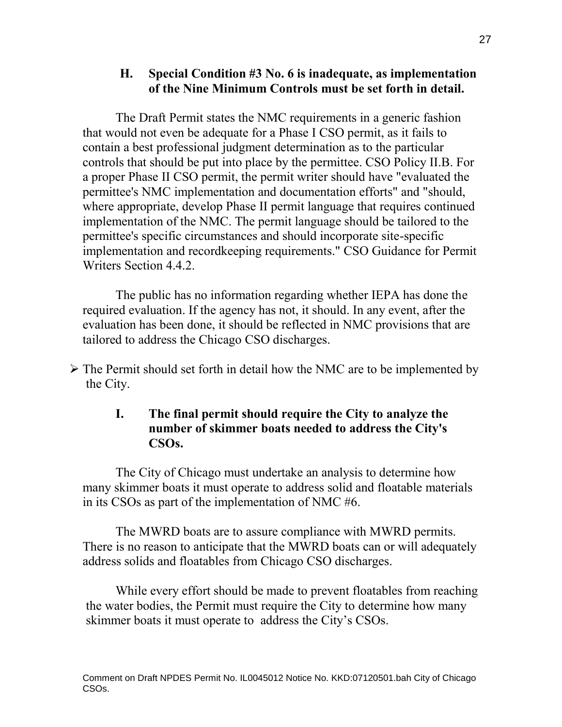# **H. Special Condition #3 No. 6 is inadequate, as implementation of the Nine Minimum Controls must be set forth in detail.**

The Draft Permit states the NMC requirements in a generic fashion that would not even be adequate for a Phase I CSO permit, as it fails to contain a best professional judgment determination as to the particular controls that should be put into place by the permittee. CSO Policy II.B. For a proper Phase II CSO permit, the permit writer should have "evaluated the permittee's NMC implementation and documentation efforts" and "should, where appropriate, develop Phase II permit language that requires continued implementation of the NMC. The permit language should be tailored to the permittee's specific circumstances and should incorporate site-specific implementation and recordkeeping requirements." CSO Guidance for Permit Writers Section 4.4.2.

The public has no information regarding whether IEPA has done the required evaluation. If the agency has not, it should. In any event, after the evaluation has been done, it should be reflected in NMC provisions that are tailored to address the Chicago CSO discharges.

 The Permit should set forth in detail how the NMC are to be implemented by the City.

## **I. The final permit should require the City to analyze the number of skimmer boats needed to address the City's CSOs.**

The City of Chicago must undertake an analysis to determine how many skimmer boats it must operate to address solid and floatable materials in its CSOs as part of the implementation of NMC #6.

The MWRD boats are to assure compliance with MWRD permits. There is no reason to anticipate that the MWRD boats can or will adequately address solids and floatables from Chicago CSO discharges.

While every effort should be made to prevent floatables from reaching the water bodies, the Permit must require the City to determine how many skimmer boats it must operate to address the City's CSOs.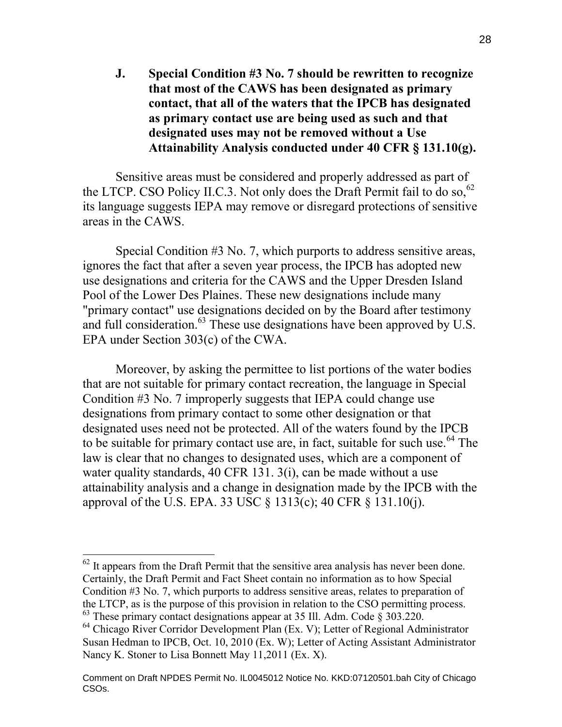**J. Special Condition #3 No. 7 should be rewritten to recognize that most of the CAWS has been designated as primary contact, that all of the waters that the IPCB has designated as primary contact use are being used as such and that designated uses may not be removed without a Use Attainability Analysis conducted under 40 CFR § 131.10(g).** 

Sensitive areas must be considered and properly addressed as part of the LTCP. CSO Policy II.C.3. Not only does the Draft Permit fail to do so,<sup>62</sup> its language suggests IEPA may remove or disregard protections of sensitive areas in the CAWS.

Special Condition #3 No. 7, which purports to address sensitive areas, ignores the fact that after a seven year process, the IPCB has adopted new use designations and criteria for the CAWS and the Upper Dresden Island Pool of the Lower Des Plaines. These new designations include many "primary contact" use designations decided on by the Board after testimony and full consideration.<sup>63</sup> These use designations have been approved by U.S. EPA under Section 303(c) of the CWA.

Moreover, by asking the permittee to list portions of the water bodies that are not suitable for primary contact recreation, the language in Special Condition #3 No. 7 improperly suggests that IEPA could change use designations from primary contact to some other designation or that designated uses need not be protected. All of the waters found by the IPCB to be suitable for primary contact use are, in fact, suitable for such use.<sup>64</sup> The law is clear that no changes to designated uses, which are a component of water quality standards, 40 CFR 131. 3(i), can be made without a use attainability analysis and a change in designation made by the IPCB with the approval of the U.S. EPA. 33 USC § 1313(c); 40 CFR § 131.10(j).

 $62$  It appears from the Draft Permit that the sensitive area analysis has never been done. Certainly, the Draft Permit and Fact Sheet contain no information as to how Special Condition #3 No. 7, which purports to address sensitive areas, relates to preparation of the LTCP, as is the purpose of this provision in relation to the CSO permitting process.  $63$  These primary contact designations appear at 35 Ill. Adm. Code  $\S 303.220$ .

<sup>&</sup>lt;sup>64</sup> Chicago River Corridor Development Plan (Ex. V); Letter of Regional Administrator Susan Hedman to IPCB, Oct. 10, 2010 (Ex. W); Letter of Acting Assistant Administrator Nancy K. Stoner to Lisa Bonnett May 11,2011 (Ex. X).

Comment on Draft NPDES Permit No. IL0045012 Notice No. KKD:07120501.bah City of Chicago CSOs.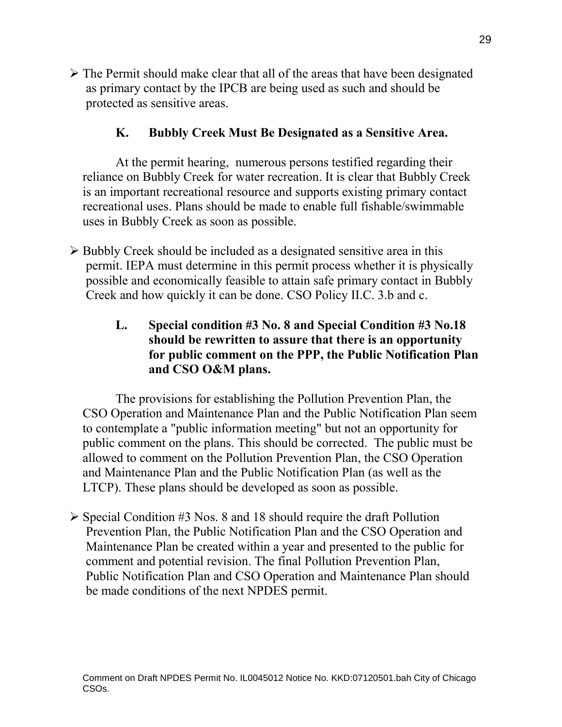$\triangleright$  The Permit should make clear that all of the areas that have been designated as primary contact by the IPCB are being used as such and should be protected as sensitive areas.

# **K. Bubbly Creek Must Be Designated as a Sensitive Area.**

At the permit hearing, numerous persons testified regarding their reliance on Bubbly Creek for water recreation. It is clear that Bubbly Creek is an important recreational resource and supports existing primary contact recreational uses. Plans should be made to enable full fishable/swimmable uses in Bubbly Creek as soon as possible.

- $\triangleright$  Bubbly Creek should be included as a designated sensitive area in this permit. IEPA must determine in this permit process whether it is physically possible and economically feasible to attain safe primary contact in Bubbly Creek and how quickly it can be done. CSO Policy II.C. 3.b and c.
	- **L. Special condition #3 No. 8 and Special Condition #3 No.18 should be rewritten to assure that there is an opportunity for public comment on the PPP, the Public Notification Plan and CSO O&M plans.**

The provisions for establishing the Pollution Prevention Plan, the CSO Operation and Maintenance Plan and the Public Notification Plan seem to contemplate a "public information meeting" but not an opportunity for public comment on the plans. This should be corrected. The public must be allowed to comment on the Pollution Prevention Plan, the CSO Operation and Maintenance Plan and the Public Notification Plan (as well as the LTCP). These plans should be developed as soon as possible.

 $\triangleright$  Special Condition #3 Nos. 8 and 18 should require the draft Pollution Prevention Plan, the Public Notification Plan and the CSO Operation and Maintenance Plan be created within a year and presented to the public for comment and potential revision. The final Pollution Prevention Plan, Public Notification Plan and CSO Operation and Maintenance Plan should be made conditions of the next NPDES permit.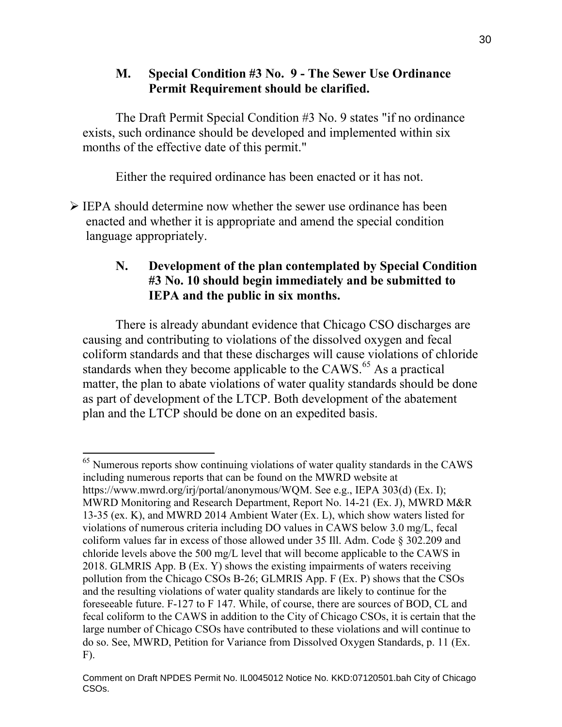## **M. Special Condition #3 No. 9 - The Sewer Use Ordinance Permit Requirement should be clarified.**

The Draft Permit Special Condition #3 No. 9 states "if no ordinance exists, such ordinance should be developed and implemented within six months of the effective date of this permit."

Either the required ordinance has been enacted or it has not.

 $\triangleright$  IEPA should determine now whether the sewer use ordinance has been enacted and whether it is appropriate and amend the special condition language appropriately.

# **N. Development of the plan contemplated by Special Condition #3 No. 10 should begin immediately and be submitted to IEPA and the public in six months.**

There is already abundant evidence that Chicago CSO discharges are causing and contributing to violations of the dissolved oxygen and fecal coliform standards and that these discharges will cause violations of chloride standards when they become applicable to the CAWS. $<sup>65</sup>$  As a practical</sup> matter, the plan to abate violations of water quality standards should be done as part of development of the LTCP. Both development of the abatement plan and the LTCP should be done on an expedited basis.

 $\overline{a}$  $<sup>65</sup>$  Numerous reports show continuing violations of water quality standards in the CAWS</sup> including numerous reports that can be found on the MWRD website at https://www.mwrd.org/irj/portal/anonymous/WQM. See e.g., IEPA 303(d) (Ex. I); MWRD Monitoring and Research Department, Report No. 14-21 (Ex. J), MWRD M&R 13-35 (ex. K), and MWRD 2014 Ambient Water (Ex. L), which show waters listed for violations of numerous criteria including DO values in CAWS below 3.0 mg/L, fecal coliform values far in excess of those allowed under 35 Ill. Adm. Code § 302.209 and chloride levels above the 500 mg/L level that will become applicable to the CAWS in 2018. GLMRIS App. B (Ex. Y) shows the existing impairments of waters receiving pollution from the Chicago CSOs B-26; GLMRIS App. F (Ex. P) shows that the CSOs and the resulting violations of water quality standards are likely to continue for the foreseeable future. F-127 to F 147. While, of course, there are sources of BOD, CL and fecal coliform to the CAWS in addition to the City of Chicago CSOs, it is certain that the large number of Chicago CSOs have contributed to these violations and will continue to do so. See, MWRD, Petition for Variance from Dissolved Oxygen Standards, p. 11 (Ex. F).

Comment on Draft NPDES Permit No. IL0045012 Notice No. KKD:07120501.bah City of Chicago CSOs.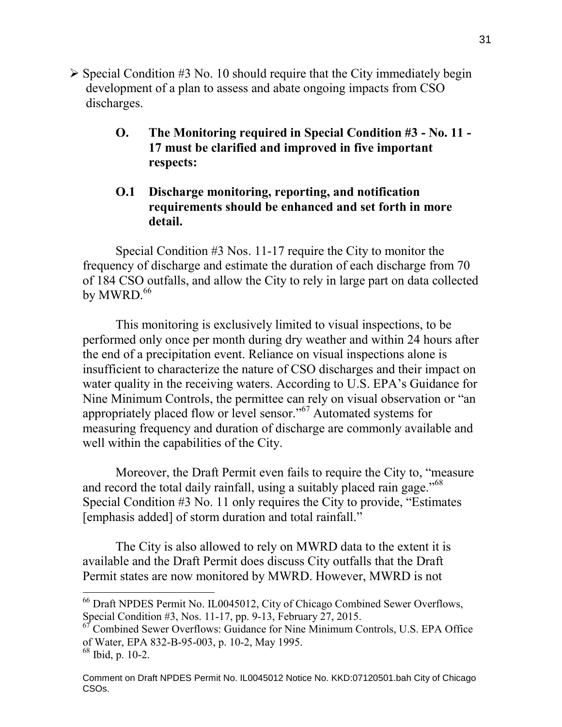- $\triangleright$  Special Condition #3 No. 10 should require that the City immediately begin development of a plan to assess and abate ongoing impacts from CSO discharges.
	- **O. The Monitoring required in Special Condition #3 No. 11 - 17 must be clarified and improved in five important respects:**

## **O.1 Discharge monitoring, reporting, and notification requirements should be enhanced and set forth in more detail.**

Special Condition #3 Nos. 11-17 require the City to monitor the frequency of discharge and estimate the duration of each discharge from 70 of 184 CSO outfalls, and allow the City to rely in large part on data collected by MWRD. $66$ 

This monitoring is exclusively limited to visual inspections, to be performed only once per month during dry weather and within 24 hours after the end of a precipitation event. Reliance on visual inspections alone is insufficient to characterize the nature of CSO discharges and their impact on water quality in the receiving waters. According to U.S. EPA's Guidance for Nine Minimum Controls, the permittee can rely on visual observation or "an appropriately placed flow or level sensor."<sup>67</sup> Automated systems for measuring frequency and duration of discharge are commonly available and well within the capabilities of the City.

Moreover, the Draft Permit even fails to require the City to, "measure and record the total daily rainfall, using a suitably placed rain gage."<sup>68</sup> Special Condition #3 No. 11 only requires the City to provide, "Estimates [emphasis added] of storm duration and total rainfall."

The City is also allowed to rely on MWRD data to the extent it is available and the Draft Permit does discuss City outfalls that the Draft Permit states are now monitored by MWRD. However, MWRD is not

<sup>66</sup> Draft NPDES Permit No. IL0045012, City of Chicago Combined Sewer Overflows, Special Condition #3, Nos. 11-17, pp. 9-13, February 27, 2015.

<sup>67</sup> Combined Sewer Overflows: Guidance for Nine Minimum Controls, U.S. EPA Office of Water, EPA 832-B-95-003, p. 10-2, May 1995.

<sup>68</sup> Ibid, p. 10-2.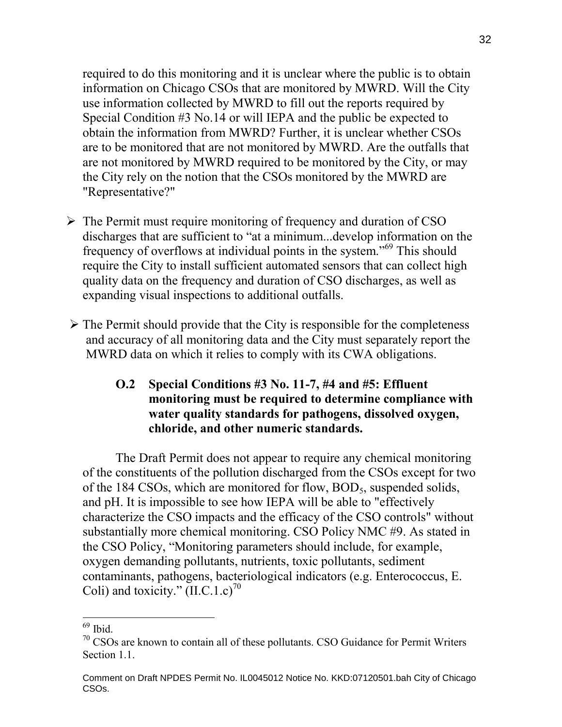required to do this monitoring and it is unclear where the public is to obtain information on Chicago CSOs that are monitored by MWRD. Will the City use information collected by MWRD to fill out the reports required by Special Condition #3 No.14 or will IEPA and the public be expected to obtain the information from MWRD? Further, it is unclear whether CSOs are to be monitored that are not monitored by MWRD. Are the outfalls that are not monitored by MWRD required to be monitored by the City, or may the City rely on the notion that the CSOs monitored by the MWRD are "Representative?"

- $\triangleright$  The Permit must require monitoring of frequency and duration of CSO discharges that are sufficient to "at a minimum...develop information on the frequency of overflows at individual points in the system."<sup>69</sup> This should require the City to install sufficient automated sensors that can collect high quality data on the frequency and duration of CSO discharges, as well as expanding visual inspections to additional outfalls.
- $\triangleright$  The Permit should provide that the City is responsible for the completeness and accuracy of all monitoring data and the City must separately report the MWRD data on which it relies to comply with its CWA obligations.

## **O.2 Special Conditions #3 No. 11-7, #4 and #5: Effluent monitoring must be required to determine compliance with water quality standards for pathogens, dissolved oxygen, chloride, and other numeric standards.**

The Draft Permit does not appear to require any chemical monitoring of the constituents of the pollution discharged from the CSOs except for two of the 184 CSOs, which are monitored for flow,  $BOD<sub>5</sub>$ , suspended solids, and pH. It is impossible to see how IEPA will be able to "effectively characterize the CSO impacts and the efficacy of the CSO controls" without substantially more chemical monitoring. CSO Policy NMC #9. As stated in the CSO Policy, "Monitoring parameters should include, for example, oxygen demanding pollutants, nutrients, toxic pollutants, sediment contaminants, pathogens, bacteriological indicators (e.g. Enterococcus, E. Coli) and toxicity."  $(II.C.1.c)^{70}$ 

<sup>69</sup> Ibid.

<sup>&</sup>lt;sup>70</sup> CSOs are known to contain all of these pollutants. CSO Guidance for Permit Writers Section 1.1.

Comment on Draft NPDES Permit No. IL0045012 Notice No. KKD:07120501.bah City of Chicago CSOs.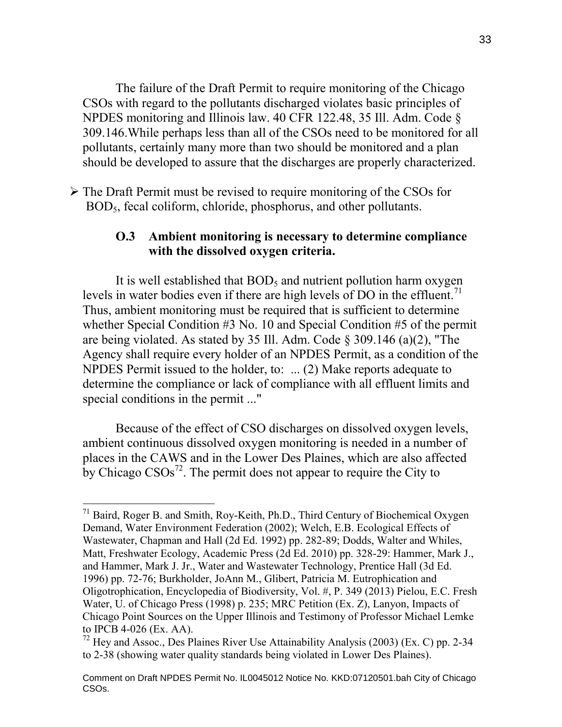The failure of the Draft Permit to require monitoring of the Chicago CSOs with regard to the pollutants discharged violates basic principles of NPDES monitoring and Illinois law. 40 CFR 122.48, 35 Ill. Adm. Code § 309.146.While perhaps less than all of the CSOs need to be monitored for all pollutants, certainly many more than two should be monitored and a plan should be developed to assure that the discharges are properly characterized.

 $\triangleright$  The Draft Permit must be revised to require monitoring of the CSOs for BOD5, fecal coliform, chloride, phosphorus, and other pollutants.

#### **O.3 Ambient monitoring is necessary to determine compliance with the dissolved oxygen criteria.**

It is well established that  $BOD<sub>5</sub>$  and nutrient pollution harm oxygen levels in water bodies even if there are high levels of DO in the effluent.<sup>71</sup> Thus, ambient monitoring must be required that is sufficient to determine whether Special Condition #3 No. 10 and Special Condition #5 of the permit are being violated. As stated by 35 Ill. Adm. Code § 309.146 (a)(2), "The Agency shall require every holder of an NPDES Permit, as a condition of the NPDES Permit issued to the holder, to: ... (2) Make reports adequate to determine the compliance or lack of compliance with all effluent limits and special conditions in the permit ..."

Because of the effect of CSO discharges on dissolved oxygen levels, ambient continuous dissolved oxygen monitoring is needed in a number of places in the CAWS and in the Lower Des Plaines, which are also affected by Chicago  $CSOs^{72}$ . The permit does not appear to require the City to

 $71$  Baird, Roger B. and Smith, Roy-Keith, Ph.D., Third Century of Biochemical Oxygen Demand, Water Environment Federation (2002); Welch, E.B. Ecological Effects of Wastewater, Chapman and Hall (2d Ed. 1992) pp. 282-89; Dodds, Walter and Whiles, Matt, Freshwater Ecology, Academic Press (2d Ed. 2010) pp. 328-29: Hammer, Mark J., and Hammer, Mark J. Jr., Water and Wastewater Technology, Prentice Hall (3d Ed. 1996) pp. 72-76; Burkholder, JoAnn M., Glibert, Patricia M. Eutrophication and Oligotrophication, Encyclopedia of Biodiversity, Vol. #, P. 349 (2013) Pielou, E.C. Fresh Water, U. of Chicago Press (1998) p. 235; MRC Petition (Ex. Z), Lanyon, Impacts of Chicago Point Sources on the Upper Illinois and Testimony of Professor Michael Lemke to IPCB 4-026 (Ex. AA).

<sup>72</sup> Hey and Assoc., Des Plaines River Use Attainability Analysis (2003) (Ex. C) pp. 2-34 to 2-38 (showing water quality standards being violated in Lower Des Plaines).

Comment on Draft NPDES Permit No. IL0045012 Notice No. KKD:07120501.bah City of Chicago CSOs.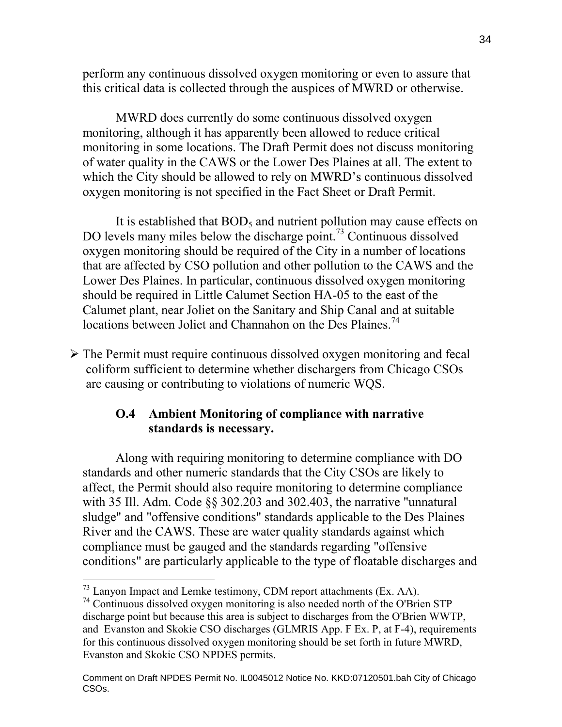perform any continuous dissolved oxygen monitoring or even to assure that this critical data is collected through the auspices of MWRD or otherwise.

MWRD does currently do some continuous dissolved oxygen monitoring, although it has apparently been allowed to reduce critical monitoring in some locations. The Draft Permit does not discuss monitoring of water quality in the CAWS or the Lower Des Plaines at all. The extent to which the City should be allowed to rely on MWRD's continuous dissolved oxygen monitoring is not specified in the Fact Sheet or Draft Permit.

It is established that  $BOD<sub>5</sub>$  and nutrient pollution may cause effects on DO levels many miles below the discharge point.<sup>73</sup> Continuous dissolved oxygen monitoring should be required of the City in a number of locations that are affected by CSO pollution and other pollution to the CAWS and the Lower Des Plaines. In particular, continuous dissolved oxygen monitoring should be required in Little Calumet Section HA-05 to the east of the Calumet plant, near Joliet on the Sanitary and Ship Canal and at suitable locations between Joliet and Channahon on the Des Plaines.<sup>74</sup>

 $\triangleright$  The Permit must require continuous dissolved oxygen monitoring and fecal coliform sufficient to determine whether dischargers from Chicago CSOs are causing or contributing to violations of numeric WQS.

## **O.4 Ambient Monitoring of compliance with narrative standards is necessary.**

Along with requiring monitoring to determine compliance with DO standards and other numeric standards that the City CSOs are likely to affect, the Permit should also require monitoring to determine compliance with 35 Ill. Adm. Code §§ 302.203 and 302.403, the narrative "unnatural sludge" and "offensive conditions" standards applicable to the Des Plaines River and the CAWS. These are water quality standards against which compliance must be gauged and the standards regarding "offensive conditions" are particularly applicable to the type of floatable discharges and

<sup>73</sup> Lanyon Impact and Lemke testimony, CDM report attachments (Ex. AA).

<sup>74</sup> Continuous dissolved oxygen monitoring is also needed north of the O'Brien STP discharge point but because this area is subject to discharges from the O'Brien WWTP, and Evanston and Skokie CSO discharges (GLMRIS App. F Ex. P, at F-4), requirements for this continuous dissolved oxygen monitoring should be set forth in future MWRD, Evanston and Skokie CSO NPDES permits.

Comment on Draft NPDES Permit No. IL0045012 Notice No. KKD:07120501.bah City of Chicago CSOs.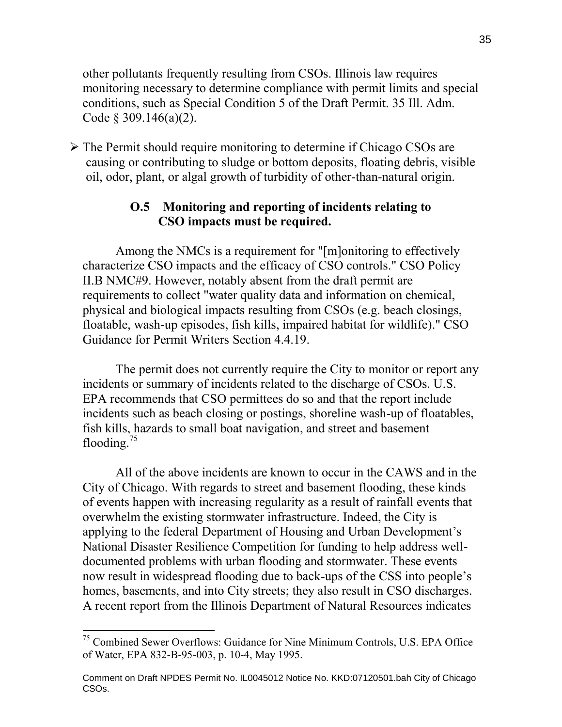other pollutants frequently resulting from CSOs. Illinois law requires monitoring necessary to determine compliance with permit limits and special conditions, such as Special Condition 5 of the Draft Permit. 35 Ill. Adm. Code § 309.146(a)(2).

 $\triangleright$  The Permit should require monitoring to determine if Chicago CSOs are causing or contributing to sludge or bottom deposits, floating debris, visible oil, odor, plant, or algal growth of turbidity of other-than-natural origin.

### **O.5 Monitoring and reporting of incidents relating to CSO impacts must be required.**

Among the NMCs is a requirement for "[m]onitoring to effectively characterize CSO impacts and the efficacy of CSO controls." CSO Policy II.B NMC#9. However, notably absent from the draft permit are requirements to collect "water quality data and information on chemical, physical and biological impacts resulting from CSOs (e.g. beach closings, floatable, wash-up episodes, fish kills, impaired habitat for wildlife)." CSO Guidance for Permit Writers Section 4.4.19.

The permit does not currently require the City to monitor or report any incidents or summary of incidents related to the discharge of CSOs. U.S. EPA recommends that CSO permittees do so and that the report include incidents such as beach closing or postings, shoreline wash-up of floatables, fish kills, hazards to small boat navigation, and street and basement flooding.<sup>75</sup>

All of the above incidents are known to occur in the CAWS and in the City of Chicago. With regards to street and basement flooding, these kinds of events happen with increasing regularity as a result of rainfall events that overwhelm the existing stormwater infrastructure. Indeed, the City is applying to the federal Department of Housing and Urban Development's National Disaster Resilience Competition for funding to help address welldocumented problems with urban flooding and stormwater. These events now result in widespread flooding due to back-ups of the CSS into people's homes, basements, and into City streets; they also result in CSO discharges. A recent report from the Illinois Department of Natural Resources indicates

<sup>&</sup>lt;sup>75</sup> Combined Sewer Overflows: Guidance for Nine Minimum Controls, U.S. EPA Office of Water, EPA 832-B-95-003, p. 10-4, May 1995.

Comment on Draft NPDES Permit No. IL0045012 Notice No. KKD:07120501.bah City of Chicago CSOs.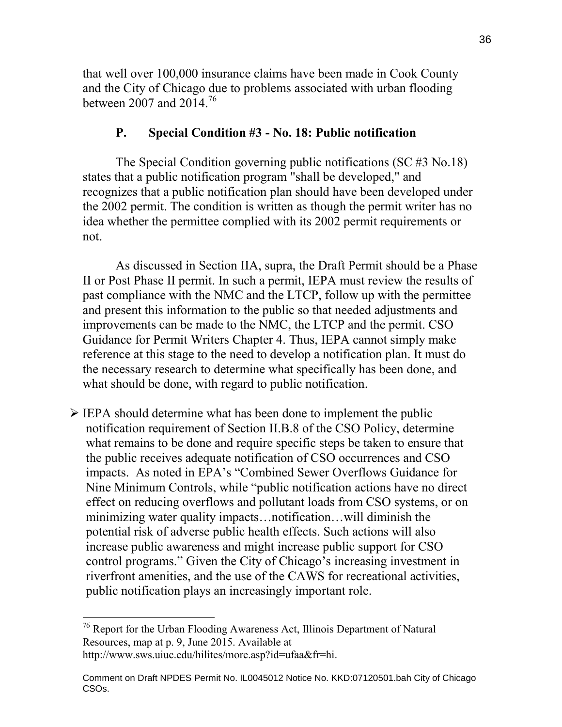that well over 100,000 insurance claims have been made in Cook County and the City of Chicago due to problems associated with urban flooding between 2007 and  $2014.<sup>76</sup>$ 

## **P. Special Condition #3 - No. 18: Public notification**

The Special Condition governing public notifications (SC #3 No.18) states that a public notification program "shall be developed," and recognizes that a public notification plan should have been developed under the 2002 permit. The condition is written as though the permit writer has no idea whether the permittee complied with its 2002 permit requirements or not.

As discussed in Section IIA, supra, the Draft Permit should be a Phase II or Post Phase II permit. In such a permit, IEPA must review the results of past compliance with the NMC and the LTCP, follow up with the permittee and present this information to the public so that needed adjustments and improvements can be made to the NMC, the LTCP and the permit. CSO Guidance for Permit Writers Chapter 4. Thus, IEPA cannot simply make reference at this stage to the need to develop a notification plan. It must do the necessary research to determine what specifically has been done, and what should be done, with regard to public notification.

 $\triangleright$  IEPA should determine what has been done to implement the public notification requirement of Section II.B.8 of the CSO Policy, determine what remains to be done and require specific steps be taken to ensure that the public receives adequate notification of CSO occurrences and CSO impacts. As noted in EPA's "Combined Sewer Overflows Guidance for Nine Minimum Controls, while "public notification actions have no direct effect on reducing overflows and pollutant loads from CSO systems, or on minimizing water quality impacts…notification…will diminish the potential risk of adverse public health effects. Such actions will also increase public awareness and might increase public support for CSO control programs." Given the City of Chicago's increasing investment in riverfront amenities, and the use of the CAWS for recreational activities, public notification plays an increasingly important role.

 $\overline{a}$  $76$  Report for the Urban Flooding Awareness Act, Illinois Department of Natural Resources, map at p. 9, June 2015. Available at http://www.sws.uiuc.edu/hilites/more.asp?id=ufaa&fr=hi.

Comment on Draft NPDES Permit No. IL0045012 Notice No. KKD:07120501.bah City of Chicago CSOs.